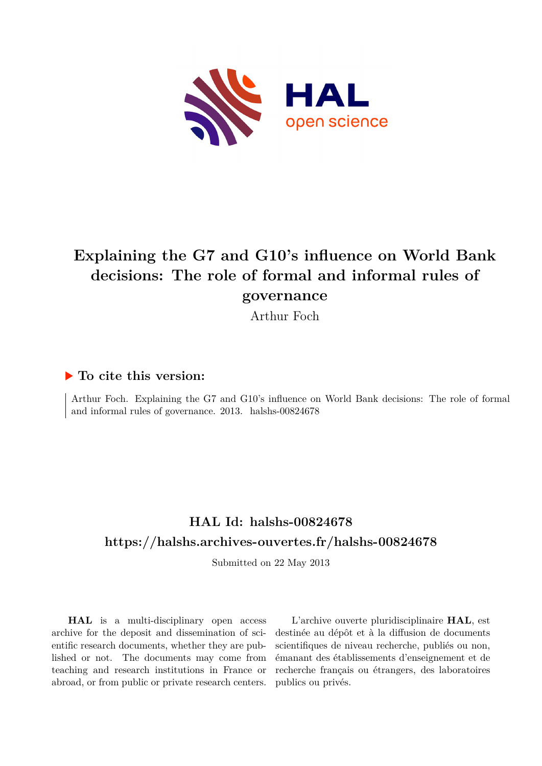

# **Explaining the G7 and G10's influence on World Bank decisions: The role of formal and informal rules of governance**

Arthur Foch

## **To cite this version:**

Arthur Foch. Explaining the G7 and G10's influence on World Bank decisions: The role of formal and informal rules of governance.  $2013$ . halshs- $00824678$ 

## **HAL Id: halshs-00824678 <https://halshs.archives-ouvertes.fr/halshs-00824678>**

Submitted on 22 May 2013

**HAL** is a multi-disciplinary open access archive for the deposit and dissemination of scientific research documents, whether they are published or not. The documents may come from teaching and research institutions in France or abroad, or from public or private research centers.

L'archive ouverte pluridisciplinaire **HAL**, est destinée au dépôt et à la diffusion de documents scientifiques de niveau recherche, publiés ou non, émanant des établissements d'enseignement et de recherche français ou étrangers, des laboratoires publics ou privés.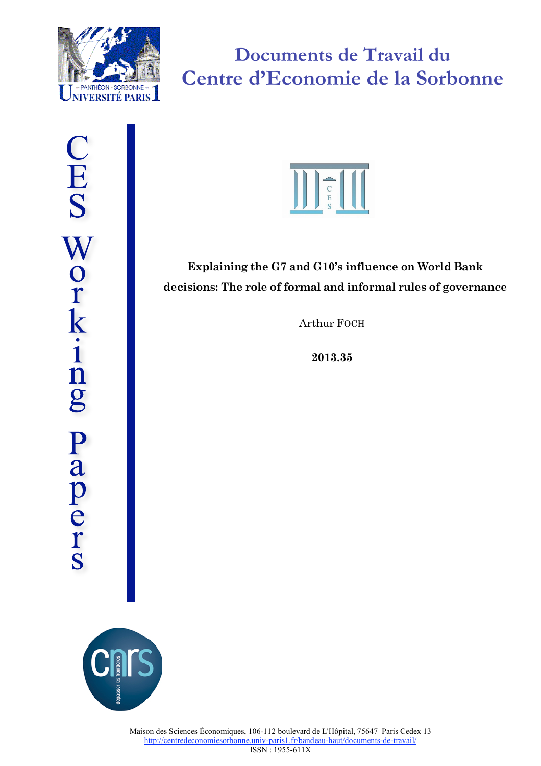

**Documents de Travail du Centre d'Economie de la Sorbonne**



## **Explaining the G7 and G10's influence on World Bank decisions: The role of formal and informal rules of governance**

Arthur FOCH

**2013.35**

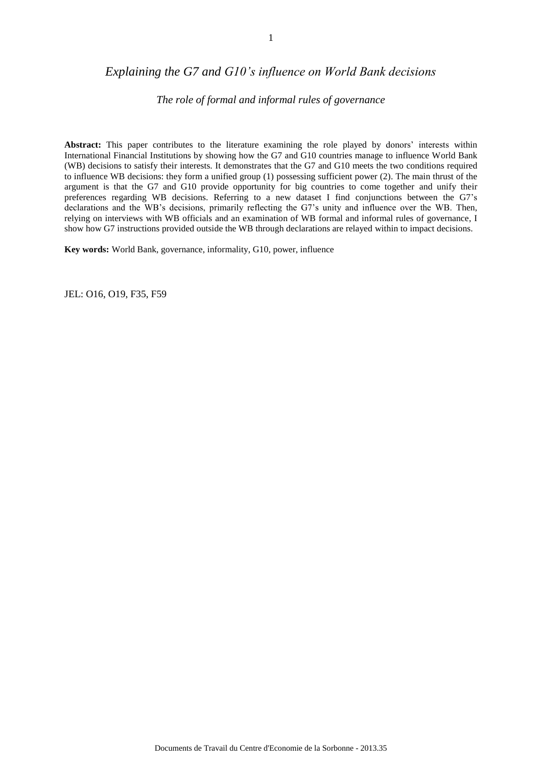## *Explaining the G7 and G10's influence on World Bank decisions*

### *The role of formal and informal rules of governance*

**Abstract:** This paper contributes to the literature examining the role played by donors' interests within International Financial Institutions by showing how the G7 and G10 countries manage to influence World Bank (WB) decisions to satisfy their interests. It demonstrates that the G7 and G10 meets the two conditions required to influence WB decisions: they form a unified group (1) possessing sufficient power (2). The main thrust of the argument is that the G7 and G10 provide opportunity for big countries to come together and unify their preferences regarding WB decisions. Referring to a new dataset I find conjunctions between the G7's declarations and the WB's decisions, primarily reflecting the G7's unity and influence over the WB. Then, relying on interviews with WB officials and an examination of WB formal and informal rules of governance, I show how G7 instructions provided outside the WB through declarations are relayed within to impact decisions.

**Key words:** World Bank, governance, informality, G10, power, influence

JEL: O16, O19, F35, F59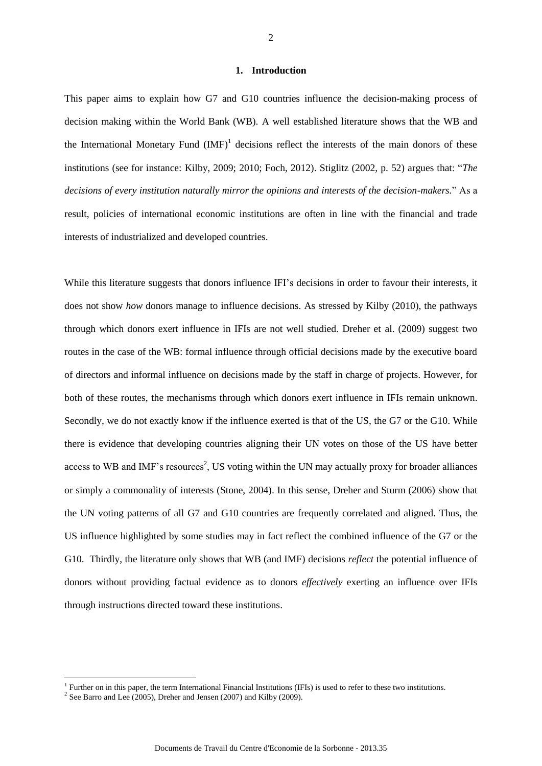#### **1. Introduction**

This paper aims to explain how G7 and G10 countries influence the decision-making process of decision making within the World Bank (WB). A well established literature shows that the WB and the International Monetary Fund  $(MF)^1$  decisions reflect the interests of the main donors of these institutions (see for instance: Kilby, 2009; 2010; Foch, 2012). Stiglitz (2002, p. 52) argues that: "*The decisions of every institution naturally mirror the opinions and interests of the decision-makers.*" As a result, policies of international economic institutions are often in line with the financial and trade interests of industrialized and developed countries.

While this literature suggests that donors influence IFI's decisions in order to favour their interests, it does not show *how* donors manage to influence decisions. As stressed by Kilby (2010), the pathways through which donors exert influence in IFIs are not well studied. Dreher et al. (2009) suggest two routes in the case of the WB: formal influence through official decisions made by the executive board of directors and informal influence on decisions made by the staff in charge of projects. However, for both of these routes, the mechanisms through which donors exert influence in IFIs remain unknown. Secondly, we do not exactly know if the influence exerted is that of the US, the G7 or the G10. While there is evidence that developing countries aligning their UN votes on those of the US have better access to WB and IMF's resources<sup>2</sup>, US voting within the UN may actually proxy for broader alliances or simply a commonality of interests (Stone, 2004). In this sense, Dreher and Sturm (2006) show that the UN voting patterns of all G7 and G10 countries are frequently correlated and aligned. Thus, the US influence highlighted by some studies may in fact reflect the combined influence of the G7 or the G10. Thirdly, the literature only shows that WB (and IMF) decisions *reflect* the potential influence of donors without providing factual evidence as to donors *effectively* exerting an influence over IFIs through instructions directed toward these institutions.

<sup>&</sup>lt;sup>1</sup> Further on in this paper, the term International Financial Institutions (IFIs) is used to refer to these two institutions.

<sup>&</sup>lt;sup>2</sup> See Barro and Lee (2005), Dreher and Jensen (2007) and Kilby (2009).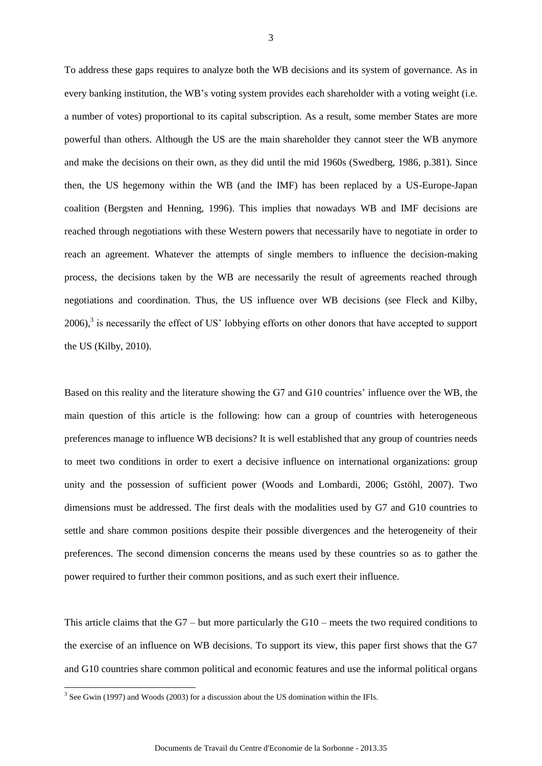To address these gaps requires to analyze both the WB decisions and its system of governance. As in every banking institution, the WB's voting system provides each shareholder with a voting weight (i.e. a number of votes) proportional to its capital subscription. As a result, some member States are more powerful than others. Although the US are the main shareholder they cannot steer the WB anymore and make the decisions on their own, as they did until the mid 1960s (Swedberg, 1986, p.381). Since then, the US hegemony within the WB (and the IMF) has been replaced by a US-Europe-Japan coalition (Bergsten and Henning, 1996). This implies that nowadays WB and IMF decisions are reached through negotiations with these Western powers that necessarily have to negotiate in order to reach an agreement. Whatever the attempts of single members to influence the decision-making process, the decisions taken by the WB are necessarily the result of agreements reached through negotiations and coordination. Thus, the US influence over WB decisions (see Fleck and Kilby,  $2006$ ),<sup>3</sup> is necessarily the effect of US' lobbying efforts on other donors that have accepted to support the US (Kilby, 2010).

Based on this reality and the literature showing the G7 and G10 countries' influence over the WB, the main question of this article is the following: how can a group of countries with heterogeneous preferences manage to influence WB decisions? It is well established that any group of countries needs to meet two conditions in order to exert a decisive influence on international organizations: group unity and the possession of sufficient power (Woods and Lombardi, 2006; Gstöhl, 2007). Two dimensions must be addressed. The first deals with the modalities used by G7 and G10 countries to settle and share common positions despite their possible divergences and the heterogeneity of their preferences. The second dimension concerns the means used by these countries so as to gather the power required to further their common positions, and as such exert their influence.

This article claims that the G7 – but more particularly the G10 – meets the two required conditions to the exercise of an influence on WB decisions. To support its view, this paper first shows that the G7 and G10 countries share common political and economic features and use the informal political organs

<sup>&</sup>lt;sup>3</sup> See Gwin (1997) and Woods (2003) for a discussion about the US domination within the IFIs.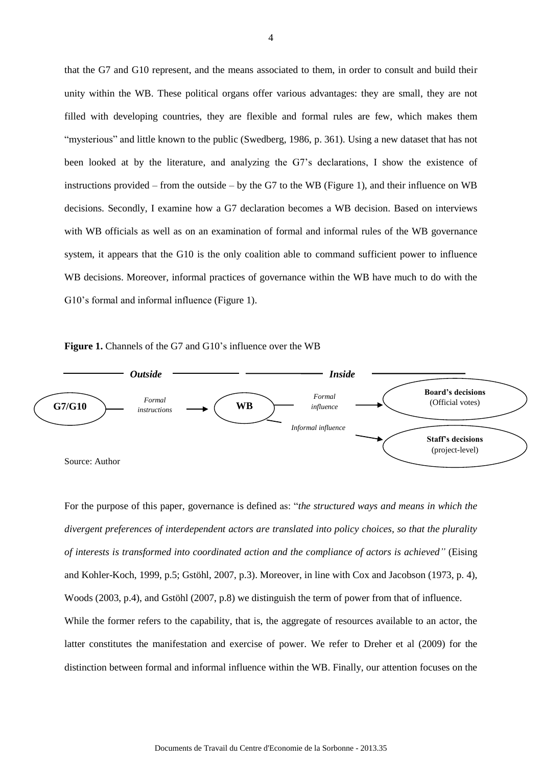that the G7 and G10 represent, and the means associated to them, in order to consult and build their unity within the WB. These political organs offer various advantages: they are small, they are not filled with developing countries, they are flexible and formal rules are few, which makes them "mysterious" and little known to the public (Swedberg, 1986, p. 361). Using a new dataset that has not been looked at by the literature, and analyzing the G7's declarations, I show the existence of instructions provided – from the outside – by the G7 to the WB (Figure 1), and their influence on WB decisions. Secondly, I examine how a G7 declaration becomes a WB decision. Based on interviews with WB officials as well as on an examination of formal and informal rules of the WB governance system, it appears that the G10 is the only coalition able to command sufficient power to influence WB decisions. Moreover, informal practices of governance within the WB have much to do with the G10's formal and informal influence (Figure 1).





For the purpose of this paper, governance is defined as: "*the structured ways and means in which the divergent preferences of interdependent actors are translated into policy choices, so that the plurality of interests is transformed into coordinated action and the compliance of actors is achieved"* (Eising and Kohler-Koch, 1999, p.5; Gstöhl, 2007, p.3). Moreover, in line with Cox and Jacobson (1973, p. 4), Woods (2003, p.4), and Gstöhl (2007, p.8) we distinguish the term of power from that of influence. While the former refers to the capability, that is, the aggregate of resources available to an actor, the latter constitutes the manifestation and exercise of power. We refer to Dreher et al (2009) for the distinction between formal and informal influence within the WB. Finally, our attention focuses on the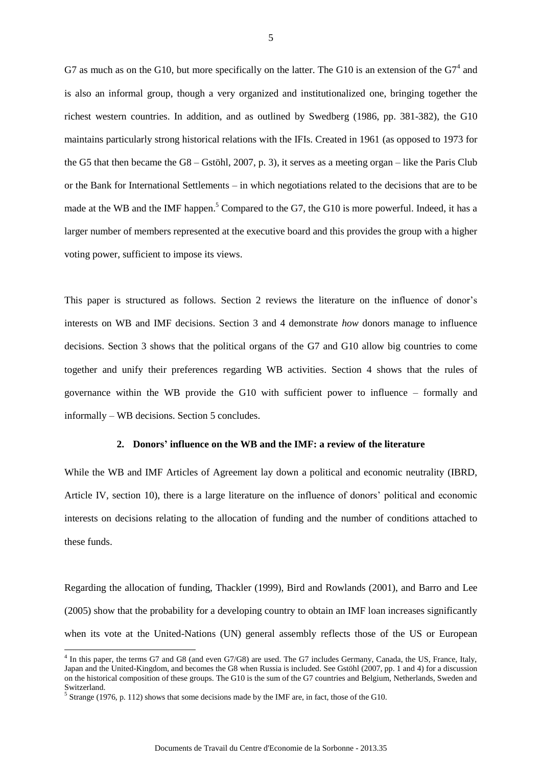G7 as much as on the G10, but more specifically on the latter. The G10 is an extension of the  $G7<sup>4</sup>$  and is also an informal group, though a very organized and institutionalized one, bringing together the richest western countries. In addition, and as outlined by Swedberg (1986, pp. 381-382), the G10 maintains particularly strong historical relations with the IFIs. Created in 1961 (as opposed to 1973 for the G5 that then became the G8 – Gstöhl, 2007, p. 3), it serves as a meeting organ – like the Paris Club or the Bank for International Settlements – in which negotiations related to the decisions that are to be made at the WB and the IMF happen.<sup>5</sup> Compared to the G7, the G10 is more powerful. Indeed, it has a larger number of members represented at the executive board and this provides the group with a higher voting power, sufficient to impose its views.

This paper is structured as follows. Section 2 reviews the literature on the influence of donor's interests on WB and IMF decisions. Section 3 and 4 demonstrate *how* donors manage to influence decisions. Section 3 shows that the political organs of the G7 and G10 allow big countries to come together and unify their preferences regarding WB activities. Section 4 shows that the rules of governance within the WB provide the G10 with sufficient power to influence – formally and informally – WB decisions. Section 5 concludes.

#### **2. Donors' influence on the WB and the IMF: a review of the literature**

While the WB and IMF Articles of Agreement lay down a political and economic neutrality (IBRD, Article IV, section 10), there is a large literature on the influence of donors' political and economic interests on decisions relating to the allocation of funding and the number of conditions attached to these funds.

Regarding the allocation of funding, Thackler (1999), Bird and Rowlands (2001), and Barro and Lee (2005) show that the probability for a developing country to obtain an IMF loan increases significantly when its vote at the United-Nations (UN) general assembly reflects those of the US or European

<sup>4</sup> In this paper, the terms G7 and G8 (and even G7/G8) are used. The G7 includes Germany, Canada, the US, France, Italy, Japan and the United-Kingdom, and becomes the G8 when Russia is included. See Gstöhl (2007, pp. 1 and 4) for a discussion on the historical composition of these groups. The G10 is the sum of the G7 countries and Belgium, Netherlands, Sweden and Switzerland.

 $<sup>5</sup>$  Strange (1976, p. 112) shows that some decisions made by the IMF are, in fact, those of the G10.</sup>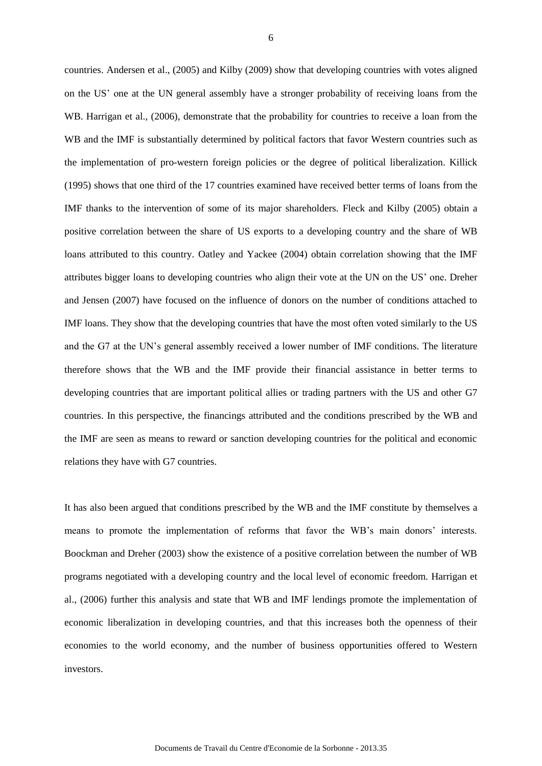countries. Andersen et al., (2005) and Kilby (2009) show that developing countries with votes aligned on the US' one at the UN general assembly have a stronger probability of receiving loans from the WB. Harrigan et al., (2006), demonstrate that the probability for countries to receive a loan from the WB and the IMF is substantially determined by political factors that favor Western countries such as the implementation of pro-western foreign policies or the degree of political liberalization. Killick (1995) shows that one third of the 17 countries examined have received better terms of loans from the IMF thanks to the intervention of some of its major shareholders. Fleck and Kilby (2005) obtain a positive correlation between the share of US exports to a developing country and the share of WB loans attributed to this country. Oatley and Yackee (2004) obtain correlation showing that the IMF attributes bigger loans to developing countries who align their vote at the UN on the US' one. Dreher and Jensen (2007) have focused on the influence of donors on the number of conditions attached to IMF loans. They show that the developing countries that have the most often voted similarly to the US and the G7 at the UN's general assembly received a lower number of IMF conditions. The literature therefore shows that the WB and the IMF provide their financial assistance in better terms to developing countries that are important political allies or trading partners with the US and other G7 countries. In this perspective, the financings attributed and the conditions prescribed by the WB and the IMF are seen as means to reward or sanction developing countries for the political and economic relations they have with G7 countries.

It has also been argued that conditions prescribed by the WB and the IMF constitute by themselves a means to promote the implementation of reforms that favor the WB's main donors' interests. Boockman and Dreher (2003) show the existence of a positive correlation between the number of WB programs negotiated with a developing country and the local level of economic freedom. Harrigan et al., (2006) further this analysis and state that WB and IMF lendings promote the implementation of economic liberalization in developing countries, and that this increases both the openness of their economies to the world economy, and the number of business opportunities offered to Western investors.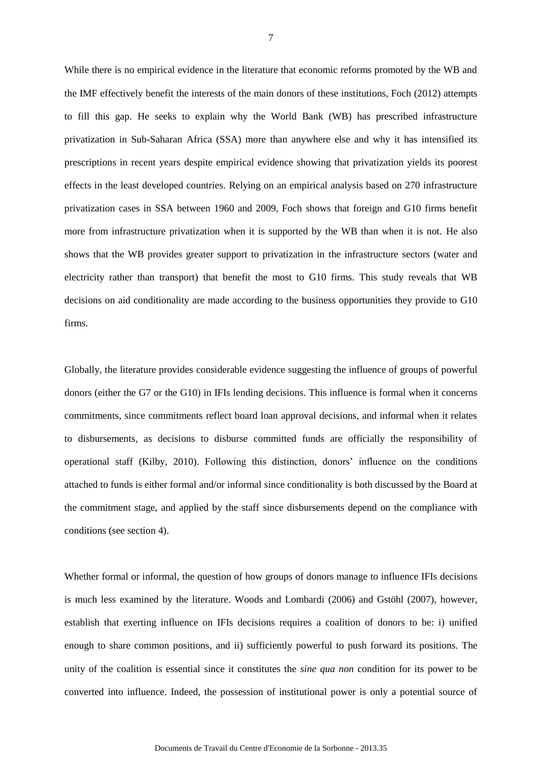While there is no empirical evidence in the literature that economic reforms promoted by the WB and the IMF effectively benefit the interests of the main donors of these institutions, Foch (2012) attempts to fill this gap. He seeks to explain why the World Bank (WB) has prescribed infrastructure privatization in Sub-Saharan Africa (SSA) more than anywhere else and why it has intensified its prescriptions in recent years despite empirical evidence showing that privatization yields its poorest effects in the least developed countries. Relying on an empirical analysis based on 270 infrastructure privatization cases in SSA between 1960 and 2009, Foch shows that foreign and G10 firms benefit more from infrastructure privatization when it is supported by the WB than when it is not. He also shows that the WB provides greater support to privatization in the infrastructure sectors (water and electricity rather than transport) that benefit the most to G10 firms. This study reveals that WB decisions on aid conditionality are made according to the business opportunities they provide to G10 firms.

Globally, the literature provides considerable evidence suggesting the influence of groups of powerful donors (either the G7 or the G10) in IFIs lending decisions. This influence is formal when it concerns commitments, since commitments reflect board loan approval decisions, and informal when it relates to disbursements, as decisions to disburse committed funds are officially the responsibility of operational staff (Kilby, 2010). Following this distinction, donors' influence on the conditions attached to funds is either formal and/or informal since conditionality is both discussed by the Board at the commitment stage, and applied by the staff since disbursements depend on the compliance with conditions (see section 4).

Whether formal or informal, the question of how groups of donors manage to influence IFIs decisions is much less examined by the literature. Woods and Lombardi (2006) and Gstöhl (2007), however, establish that exerting influence on IFIs decisions requires a coalition of donors to be: i) unified enough to share common positions, and ii) sufficiently powerful to push forward its positions. The unity of the coalition is essential since it constitutes the *sine qua non* condition for its power to be converted into influence. Indeed, the possession of institutional power is only a potential source of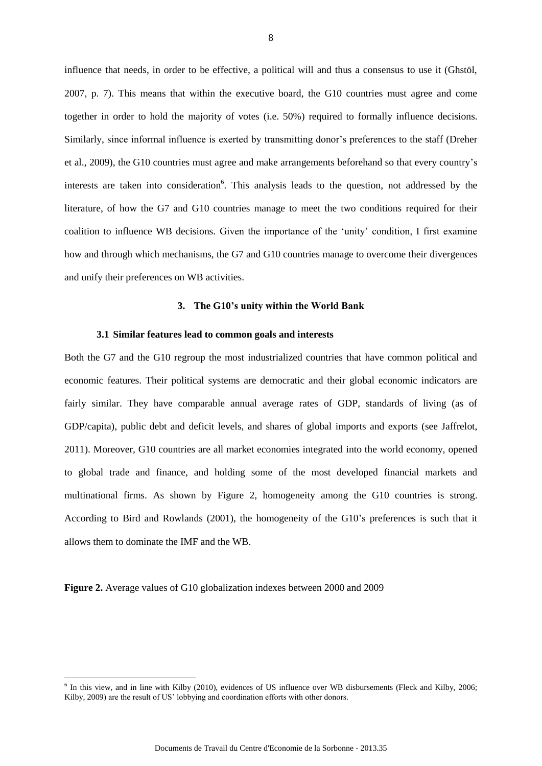influence that needs, in order to be effective, a political will and thus a consensus to use it (Ghstöl, 2007, p. 7). This means that within the executive board, the G10 countries must agree and come together in order to hold the majority of votes (i.e. 50%) required to formally influence decisions. Similarly, since informal influence is exerted by transmitting donor's preferences to the staff (Dreher et al., 2009), the G10 countries must agree and make arrangements beforehand so that every country's interests are taken into consideration<sup>6</sup>. This analysis leads to the question, not addressed by the literature, of how the G7 and G10 countries manage to meet the two conditions required for their coalition to influence WB decisions. Given the importance of the 'unity' condition, I first examine how and through which mechanisms, the G7 and G10 countries manage to overcome their divergences and unify their preferences on WB activities.

#### **3. The G10's unity within the World Bank**

#### **3.1 Similar features lead to common goals and interests**

Both the G7 and the G10 regroup the most industrialized countries that have common political and economic features. Their political systems are democratic and their global economic indicators are fairly similar. They have comparable annual average rates of GDP, standards of living (as of GDP/capita), public debt and deficit levels, and shares of global imports and exports (see Jaffrelot, 2011). Moreover, G10 countries are all market economies integrated into the world economy, opened to global trade and finance, and holding some of the most developed financial markets and multinational firms. As shown by Figure 2, homogeneity among the G10 countries is strong. According to Bird and Rowlands (2001), the homogeneity of the G10's preferences is such that it allows them to dominate the IMF and the WB.

**Figure 2.** Average values of G10 globalization indexes between 2000 and 2009

<sup>&</sup>lt;sup>6</sup> In this view, and in line with Kilby (2010), evidences of US influence over WB disbursements (Fleck and Kilby, 2006; Kilby, 2009) are the result of US' lobbying and coordination efforts with other donors.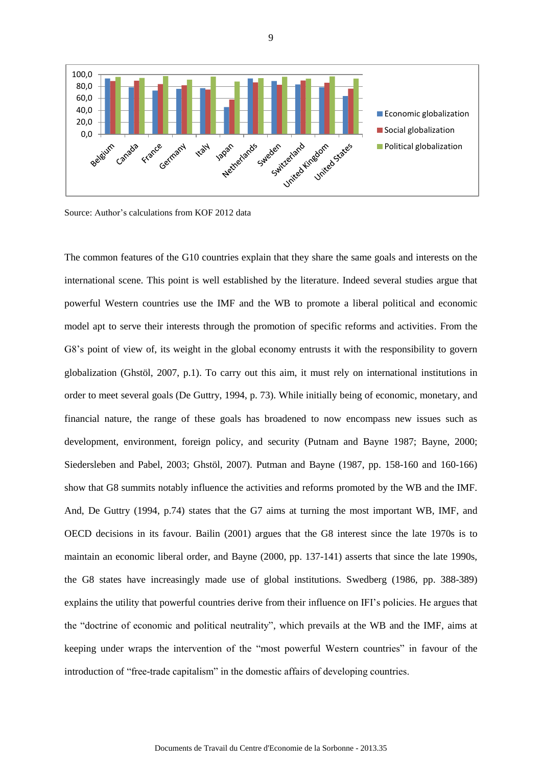

Source: Author's calculations from KOF 2012 data

The common features of the G10 countries explain that they share the same goals and interests on the international scene. This point is well established by the literature. Indeed several studies argue that powerful Western countries use the IMF and the WB to promote a liberal political and economic model apt to serve their interests through the promotion of specific reforms and activities. From the G8's point of view of, its weight in the global economy entrusts it with the responsibility to govern globalization (Ghstöl, 2007, p.1). To carry out this aim, it must rely on international institutions in order to meet several goals (De Guttry, 1994, p. 73). While initially being of economic, monetary, and financial nature, the range of these goals has broadened to now encompass new issues such as development, environment, foreign policy, and security (Putnam and Bayne 1987; Bayne, 2000; Siedersleben and Pabel, 2003; Ghstöl, 2007). Putman and Bayne (1987, pp. 158-160 and 160-166) show that G8 summits notably influence the activities and reforms promoted by the WB and the IMF. And, De Guttry (1994, p.74) states that the G7 aims at turning the most important WB, IMF, and OECD decisions in its favour. Bailin (2001) argues that the G8 interest since the late 1970s is to maintain an economic liberal order, and Bayne (2000, pp. 137-141) asserts that since the late 1990s, the G8 states have increasingly made use of global institutions. Swedberg (1986, pp. 388-389) explains the utility that powerful countries derive from their influence on IFI's policies. He argues that the "doctrine of economic and political neutrality", which prevails at the WB and the IMF, aims at keeping under wraps the intervention of the "most powerful Western countries" in favour of the introduction of "free-trade capitalism" in the domestic affairs of developing countries.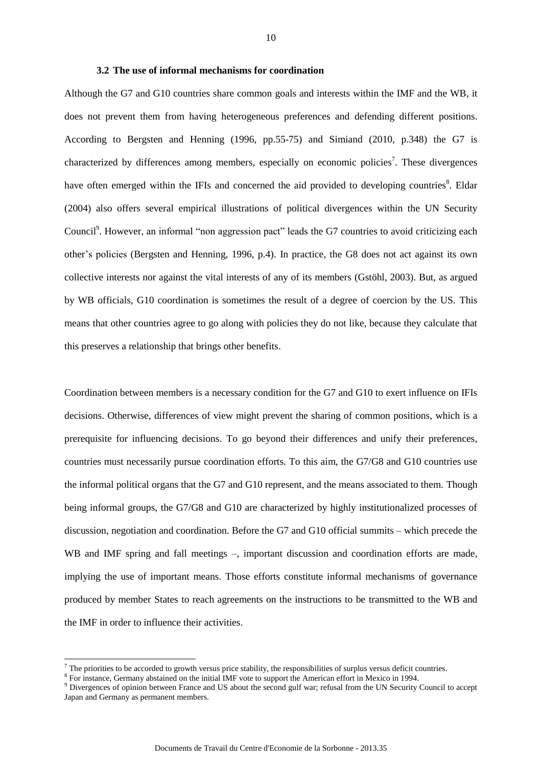#### **3.2 The use of informal mechanisms for coordination**

Although the G7 and G10 countries share common goals and interests within the IMF and the WB, it does not prevent them from having heterogeneous preferences and defending different positions. According to Bergsten and Henning (1996, pp.55-75) and Simiand (2010, p.348) the G7 is characterized by differences among members, especially on economic policies<sup>7</sup>. These divergences have often emerged within the IFIs and concerned the aid provided to developing countries<sup>8</sup>. Eldar (2004) also offers several empirical illustrations of political divergences within the UN Security Council<sup>9</sup>. However, an informal "non aggression pact" leads the G7 countries to avoid criticizing each other's policies (Bergsten and Henning, 1996, p.4). In practice, the G8 does not act against its own collective interests nor against the vital interests of any of its members (Gstöhl, 2003). But, as argued by WB officials, G10 coordination is sometimes the result of a degree of coercion by the US. This means that other countries agree to go along with policies they do not like, because they calculate that this preserves a relationship that brings other benefits.

Coordination between members is a necessary condition for the G7 and G10 to exert influence on IFIs decisions. Otherwise, differences of view might prevent the sharing of common positions, which is a prerequisite for influencing decisions. To go beyond their differences and unify their preferences, countries must necessarily pursue coordination efforts. To this aim, the G7/G8 and G10 countries use the informal political organs that the G7 and G10 represent, and the means associated to them. Though being informal groups, the G7/G8 and G10 are characterized by highly institutionalized processes of discussion, negotiation and coordination. Before the G7 and G10 official summits – which precede the WB and IMF spring and fall meetings –, important discussion and coordination efforts are made, implying the use of important means. Those efforts constitute informal mechanisms of governance produced by member States to reach agreements on the instructions to be transmitted to the WB and the IMF in order to influence their activities.

The priorities to be accorded to growth versus price stability, the responsibilities of surplus versus deficit countries.

<sup>&</sup>lt;sup>8</sup> For instance, Germany abstained on the initial IMF vote to support the American effort in Mexico in 1994.

<sup>&</sup>lt;sup>9</sup> Divergences of opinion between France and US about the second gulf war; refusal from the UN Security Council to accept Japan and Germany as permanent members.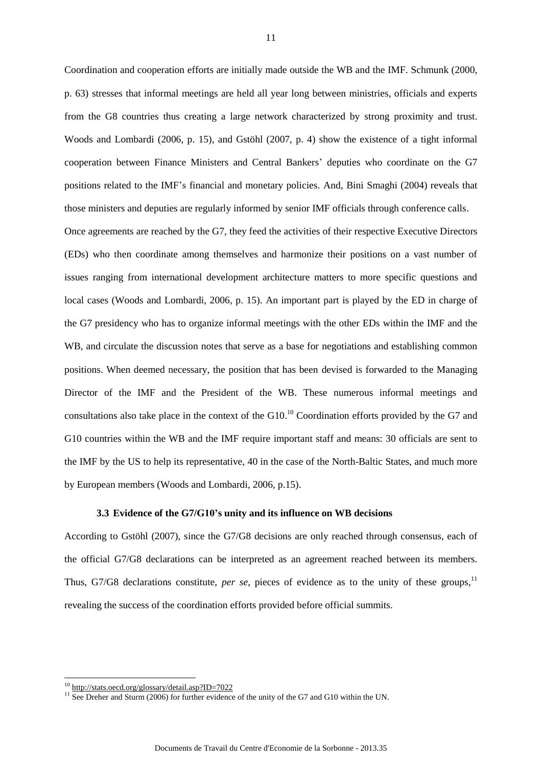Coordination and cooperation efforts are initially made outside the WB and the IMF. Schmunk (2000, p. 63) stresses that informal meetings are held all year long between ministries, officials and experts from the G8 countries thus creating a large network characterized by strong proximity and trust. Woods and Lombardi (2006, p. 15), and Gstöhl (2007, p. 4) show the existence of a tight informal cooperation between Finance Ministers and Central Bankers' deputies who coordinate on the G7 positions related to the IMF's financial and monetary policies. And, Bini Smaghi (2004) reveals that those ministers and deputies are regularly informed by senior IMF officials through conference calls.

Once agreements are reached by the G7, they feed the activities of their respective Executive Directors (EDs) who then coordinate among themselves and harmonize their positions on a vast number of issues ranging from international development architecture matters to more specific questions and local cases (Woods and Lombardi, 2006, p. 15). An important part is played by the ED in charge of the G7 presidency who has to organize informal meetings with the other EDs within the IMF and the WB, and circulate the discussion notes that serve as a base for negotiations and establishing common positions. When deemed necessary, the position that has been devised is forwarded to the Managing Director of the IMF and the President of the WB. These numerous informal meetings and consultations also take place in the context of the  $G10$ <sup>10</sup> Coordination efforts provided by the  $G7$  and G10 countries within the WB and the IMF require important staff and means: 30 officials are sent to the IMF by the US to help its representative, 40 in the case of the North-Baltic States, and much more by European members (Woods and Lombardi, 2006, p.15).

#### **3.3 Evidence of the G7/G10's unity and its influence on WB decisions**

According to Gstöhl (2007), since the G7/G8 decisions are only reached through consensus, each of the official G7/G8 declarations can be interpreted as an agreement reached between its members. Thus, G7/G8 declarations constitute, *per se*, pieces of evidence as to the unity of these groups,<sup>11</sup> revealing the success of the coordination efforts provided before official summits.

<sup>&</sup>lt;sup>10</sup><http://stats.oecd.org/glossary/detail.asp?ID=7022>

<sup>&</sup>lt;sup>11</sup> See Dreher and Sturm (2006) for further evidence of the unity of the G7 and G10 within the UN.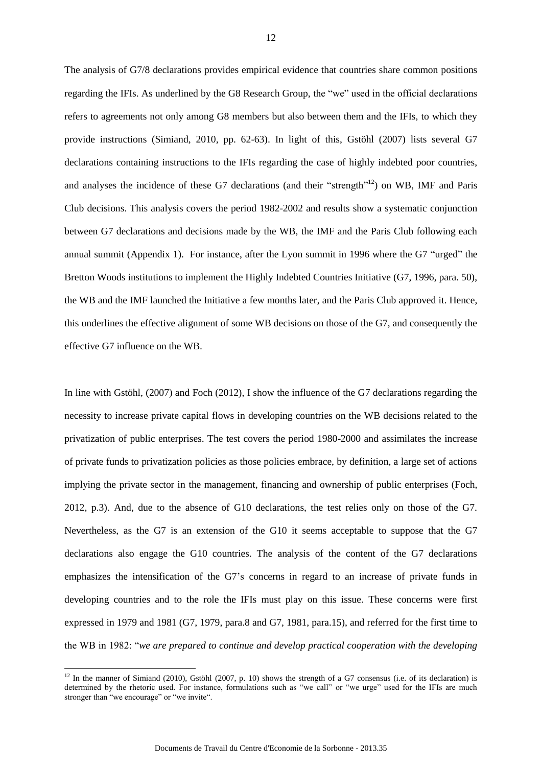The analysis of G7/8 declarations provides empirical evidence that countries share common positions regarding the IFIs. As underlined by the G8 Research Group, the "we" used in the official declarations refers to agreements not only among G8 members but also between them and the IFIs, to which they provide instructions (Simiand, 2010, pp. 62-63). In light of this, Gstöhl (2007) lists several G7 declarations containing instructions to the IFIs regarding the case of highly indebted poor countries, and analyses the incidence of these G7 declarations (and their "strength"<sup>12</sup>) on WB, IMF and Paris Club decisions. This analysis covers the period 1982-2002 and results show a systematic conjunction between G7 declarations and decisions made by the WB, the IMF and the Paris Club following each annual summit (Appendix 1). For instance, after the Lyon summit in 1996 where the G7 "urged" the Bretton Woods institutions to implement the Highly Indebted Countries Initiative (G7, 1996, para. 50), the WB and the IMF launched the Initiative a few months later, and the Paris Club approved it. Hence, this underlines the effective alignment of some WB decisions on those of the G7, and consequently the effective G7 influence on the WB.

In line with Gstöhl, (2007) and Foch (2012), I show the influence of the G7 declarations regarding the necessity to increase private capital flows in developing countries on the WB decisions related to the privatization of public enterprises. The test covers the period 1980-2000 and assimilates the increase of private funds to privatization policies as those policies embrace, by definition, a large set of actions implying the private sector in the management, financing and ownership of public enterprises (Foch, 2012, p.3). And, due to the absence of G10 declarations, the test relies only on those of the G7. Nevertheless, as the G7 is an extension of the G10 it seems acceptable to suppose that the G7 declarations also engage the G10 countries. The analysis of the content of the G7 declarations emphasizes the intensification of the G7's concerns in regard to an increase of private funds in developing countries and to the role the IFIs must play on this issue. These concerns were first expressed in 1979 and 1981 (G7, 1979, para.8 and G7, 1981, para.15), and referred for the first time to the WB in 1982: "*we are prepared to continue and develop practical cooperation with the developing* 

 $12$  In the manner of Simiand (2010), Gstöhl (2007, p. 10) shows the strength of a G7 consensus (i.e. of its declaration) is determined by the rhetoric used. For instance, formulations such as "we call" or "we urge" used for the IFIs are much stronger than "we encourage" or "we invite".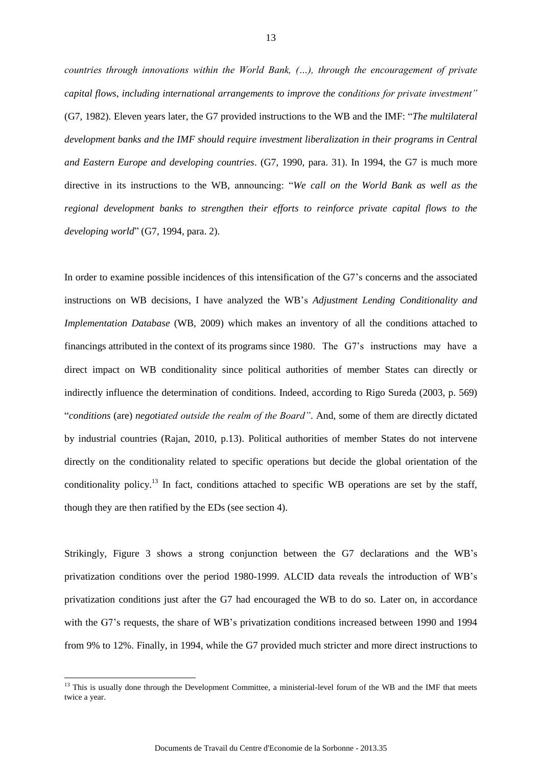*countries through innovations within the World Bank, (…), through the encouragement of private capital flows, including international arrangements to improve the conditions for private investment"*  (G7, 1982). Eleven years later, the G7 provided instructions to the WB and the IMF: "*The multilateral development banks and the IMF should require investment liberalization in their programs in Central and Eastern Europe and developing countries*. (G7, 1990, para. 31). In 1994, the G7 is much more directive in its instructions to the WB, announcing: "*We call on the World Bank as well as the regional development banks to strengthen their efforts to reinforce private capital flows to the developing world*" (G7, 1994, para. 2).

In order to examine possible incidences of this intensification of the G7's concerns and the associated instructions on WB decisions, I have analyzed the WB's *Adjustment Lending Conditionality and Implementation Database* (WB, 2009) which makes an inventory of all the conditions attached to financings attributed in the context of its programs since 1980. The G7's instructions may have a direct impact on WB conditionality since political authorities of member States can directly or indirectly influence the determination of conditions. Indeed, according to Rigo Sureda (2003, p. 569) "*conditions* (are) *negotiated outside the realm of the Board"*. And, some of them are directly dictated by industrial countries (Rajan, 2010, p.13). Political authorities of member States do not intervene directly on the conditionality related to specific operations but decide the global orientation of the conditionality policy.<sup>13</sup> In fact, conditions attached to specific WB operations are set by the staff, though they are then ratified by the EDs (see section 4).

Strikingly, Figure 3 shows a strong conjunction between the G7 declarations and the WB's privatization conditions over the period 1980-1999. ALCID data reveals the introduction of WB's privatization conditions just after the G7 had encouraged the WB to do so. Later on, in accordance with the G7's requests, the share of WB's privatization conditions increased between 1990 and 1994 from 9% to 12%. Finally, in 1994, while the G7 provided much stricter and more direct instructions to

<sup>&</sup>lt;sup>13</sup> This is usually done through the Development Committee, a ministerial-level forum of the WB and the IMF that meets twice a year.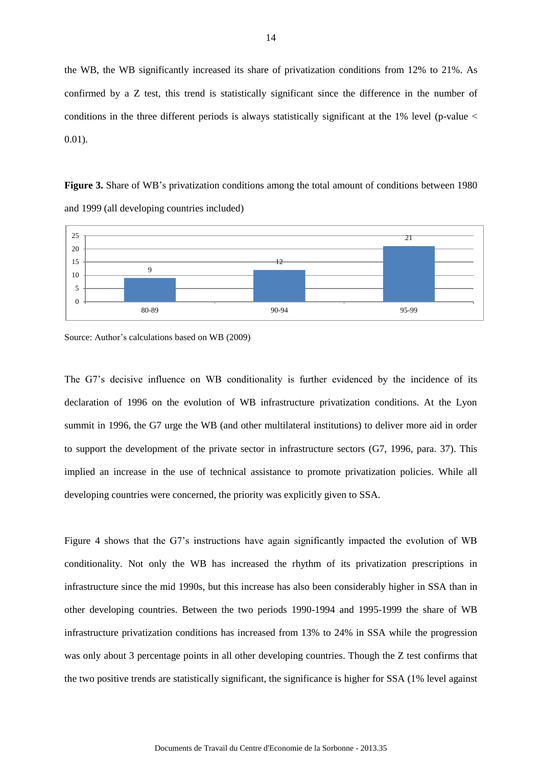the WB, the WB significantly increased its share of privatization conditions from 12% to 21%. As confirmed by a Z test, this trend is statistically significant since the difference in the number of conditions in the three different periods is always statistically significant at the  $1\%$  level (p-value  $\lt$ 0.01).

**Figure 3.** Share of WB's privatization conditions among the total amount of conditions between 1980 and 1999 (all developing countries included)



Source: Author's calculations based on WB (2009)

The G7's decisive influence on WB conditionality is further evidenced by the incidence of its declaration of 1996 on the evolution of WB infrastructure privatization conditions. At the Lyon summit in 1996, the G7 urge the WB (and other multilateral institutions) to deliver more aid in order to support the development of the private sector in infrastructure sectors (G7, 1996, para. 37). This implied an increase in the use of technical assistance to promote privatization policies. While all developing countries were concerned, the priority was explicitly given to SSA.

Figure 4 shows that the G7's instructions have again significantly impacted the evolution of WB conditionality. Not only the WB has increased the rhythm of its privatization prescriptions in infrastructure since the mid 1990s, but this increase has also been considerably higher in SSA than in other developing countries. Between the two periods 1990-1994 and 1995-1999 the share of WB infrastructure privatization conditions has increased from 13% to 24% in SSA while the progression was only about 3 percentage points in all other developing countries. Though the Z test confirms that the two positive trends are statistically significant, the significance is higher for SSA (1% level against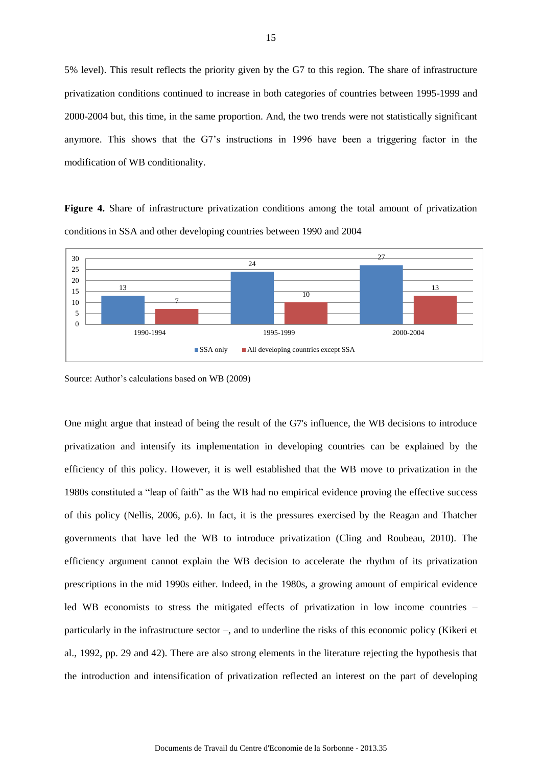5% level). This result reflects the priority given by the G7 to this region. The share of infrastructure privatization conditions continued to increase in both categories of countries between 1995-1999 and 2000-2004 but, this time, in the same proportion. And, the two trends were not statistically significant anymore. This shows that the G7's instructions in 1996 have been a triggering factor in the modification of WB conditionality.

**Figure 4.** Share of infrastructure privatization conditions among the total amount of privatization conditions in SSA and other developing countries between 1990 and 2004



Source: Author's calculations based on WB (2009)

One might argue that instead of being the result of the G7's influence, the WB decisions to introduce privatization and intensify its implementation in developing countries can be explained by the efficiency of this policy. However, it is well established that the WB move to privatization in the 1980s constituted a "leap of faith" as the WB had no empirical evidence proving the effective success of this policy (Nellis, 2006, p.6). In fact, it is the pressures exercised by the Reagan and Thatcher governments that have led the WB to introduce privatization (Cling and Roubeau, 2010). The efficiency argument cannot explain the WB decision to accelerate the rhythm of its privatization prescriptions in the mid 1990s either. Indeed, in the 1980s, a growing amount of empirical evidence led WB economists to stress the mitigated effects of privatization in low income countries – particularly in the infrastructure sector –, and to underline the risks of this economic policy (Kikeri et al., 1992, pp. 29 and 42). There are also strong elements in the literature rejecting the hypothesis that the introduction and intensification of privatization reflected an interest on the part of developing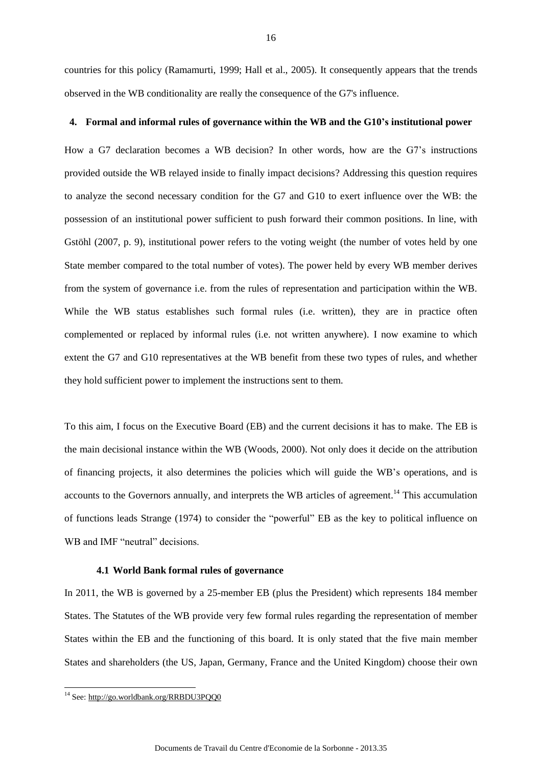countries for this policy (Ramamurti, 1999; Hall et al., 2005). It consequently appears that the trends observed in the WB conditionality are really the consequence of the G7's influence.

#### **4. Formal and informal rules of governance within the WB and the G10's institutional power**

How a G7 declaration becomes a WB decision? In other words, how are the G7's instructions provided outside the WB relayed inside to finally impact decisions? Addressing this question requires to analyze the second necessary condition for the G7 and G10 to exert influence over the WB: the possession of an institutional power sufficient to push forward their common positions. In line, with Gstöhl (2007, p. 9), institutional power refers to the voting weight (the number of votes held by one State member compared to the total number of votes). The power held by every WB member derives from the system of governance i.e. from the rules of representation and participation within the WB. While the WB status establishes such formal rules (i.e. written), they are in practice often complemented or replaced by informal rules (i.e. not written anywhere). I now examine to which extent the G7 and G10 representatives at the WB benefit from these two types of rules, and whether they hold sufficient power to implement the instructions sent to them.

To this aim, I focus on the Executive Board (EB) and the current decisions it has to make. The EB is the main decisional instance within the WB (Woods, 2000). Not only does it decide on the attribution of financing projects, it also determines the policies which will guide the WB's operations, and is accounts to the Governors annually, and interprets the WB articles of agreement.<sup>14</sup> This accumulation of functions leads Strange (1974) to consider the "powerful" EB as the key to political influence on WB and IMF "neutral" decisions.

#### **4.1 World Bank formal rules of governance**

In 2011, the WB is governed by a 25-member EB (plus the President) which represents 184 member States. The Statutes of the WB provide very few formal rules regarding the representation of member States within the EB and the functioning of this board. It is only stated that the five main member States and shareholders (the US, Japan, Germany, France and the United Kingdom) choose their own

-

<sup>&</sup>lt;sup>14</sup> See: <http://go.worldbank.org/RRBDU3PQQ0>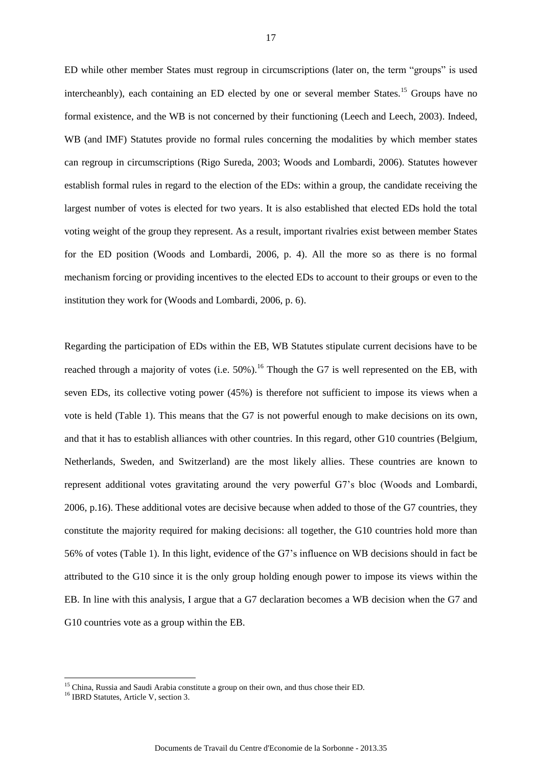ED while other member States must regroup in circumscriptions (later on, the term "groups" is used intercheanbly), each containing an ED elected by one or several member States.<sup>15</sup> Groups have no formal existence, and the WB is not concerned by their functioning (Leech and Leech, 2003). Indeed, WB (and IMF) Statutes provide no formal rules concerning the modalities by which member states can regroup in circumscriptions (Rigo Sureda, 2003; Woods and Lombardi, 2006). Statutes however establish formal rules in regard to the election of the EDs: within a group, the candidate receiving the largest number of votes is elected for two years. It is also established that elected EDs hold the total voting weight of the group they represent. As a result, important rivalries exist between member States for the ED position (Woods and Lombardi, 2006, p. 4). All the more so as there is no formal mechanism forcing or providing incentives to the elected EDs to account to their groups or even to the institution they work for (Woods and Lombardi, 2006, p. 6).

Regarding the participation of EDs within the EB, WB Statutes stipulate current decisions have to be reached through a majority of votes (i.e.  $50\%$ ).<sup>16</sup> Though the G7 is well represented on the EB, with seven EDs, its collective voting power (45%) is therefore not sufficient to impose its views when a vote is held (Table 1). This means that the G7 is not powerful enough to make decisions on its own, and that it has to establish alliances with other countries. In this regard, other G10 countries (Belgium, Netherlands, Sweden, and Switzerland) are the most likely allies. These countries are known to represent additional votes gravitating around the very powerful G7's bloc (Woods and Lombardi, 2006, p.16). These additional votes are decisive because when added to those of the G7 countries, they constitute the majority required for making decisions: all together, the G10 countries hold more than 56% of votes (Table 1). In this light, evidence of the G7's influence on WB decisions should in fact be attributed to the G10 since it is the only group holding enough power to impose its views within the EB. In line with this analysis, I argue that a G7 declaration becomes a WB decision when the G7 and G10 countries vote as a group within the EB.

<sup>&</sup>lt;sup>15</sup> China, Russia and Saudi Arabia constitute a group on their own, and thus chose their ED.

<sup>&</sup>lt;sup>16</sup> IBRD Statutes, Article V, section 3.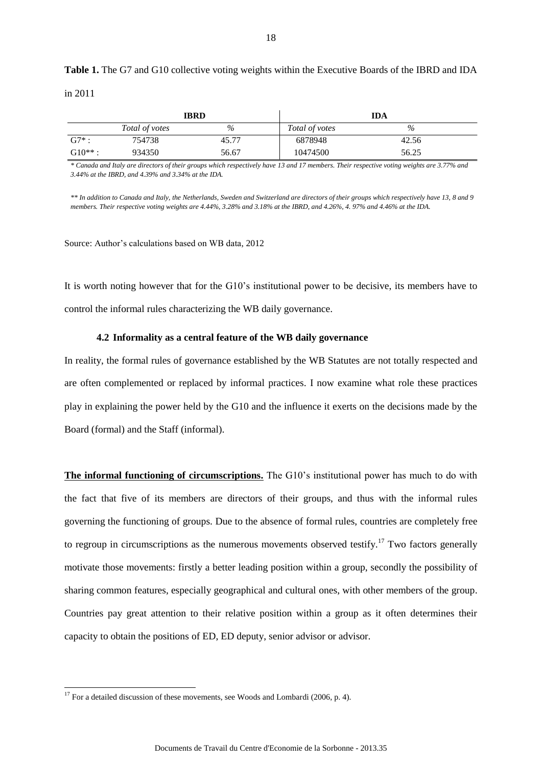**Table 1.** The G7 and G10 collective voting weights within the Executive Boards of the IBRD and IDA in 2011

|          |                | <b>IBRD</b> | <b>IDA</b>     |       |  |
|----------|----------------|-------------|----------------|-------|--|
|          | Total of votes | $\%$        | Total of votes | $\%$  |  |
| $G7^*$ : | 754738         | 45.77       | 6878948        | 42.56 |  |
| $G10**:$ | 934350         | 56.67       | 10474500       | 56.25 |  |

*\* Canada and Italy are directors of their groups which respectively have 13 and 17 members. Their respective voting weights are 3.77% and 3.44% at the IBRD, and 4.39% and 3.34% at the IDA.* 

*\*\* In addition to Canada and Italy, the Netherlands, Sweden and Switzerland are directors of their groups which respectively have 13, 8 and 9 members. Their respective voting weights are 4.44%, 3.28% and 3.18% at the IBRD, and 4.26%, 4. 97% and 4.46% at the IDA.*

Source: Author's calculations based on WB data, 2012

It is worth noting however that for the G10's institutional power to be decisive, its members have to control the informal rules characterizing the WB daily governance.

#### **4.2 Informality as a central feature of the WB daily governance**

In reality, the formal rules of governance established by the WB Statutes are not totally respected and are often complemented or replaced by informal practices. I now examine what role these practices play in explaining the power held by the G10 and the influence it exerts on the decisions made by the Board (formal) and the Staff (informal).

**The informal functioning of circumscriptions.** The G10's institutional power has much to do with the fact that five of its members are directors of their groups, and thus with the informal rules governing the functioning of groups. Due to the absence of formal rules, countries are completely free to regroup in circumscriptions as the numerous movements observed testify.<sup>17</sup> Two factors generally motivate those movements: firstly a better leading position within a group, secondly the possibility of sharing common features, especially geographical and cultural ones, with other members of the group. Countries pay great attention to their relative position within a group as it often determines their capacity to obtain the positions of ED, ED deputy, senior advisor or advisor.

-

 $17$  For a detailed discussion of these movements, see Woods and Lombardi (2006, p. 4).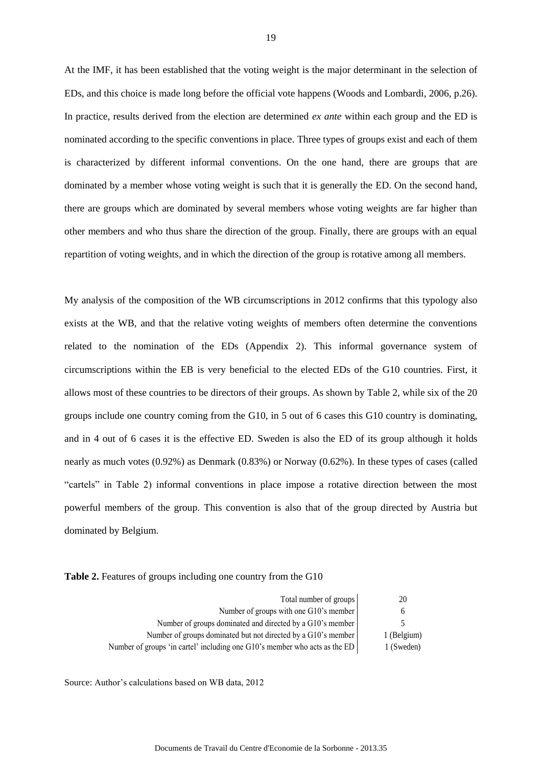At the IMF, it has been established that the voting weight is the major determinant in the selection of EDs, and this choice is made long before the official vote happens (Woods and Lombardi, 2006, p.26). In practice, results derived from the election are determined *ex ante* within each group and the ED is nominated according to the specific conventions in place. Three types of groups exist and each of them is characterized by different informal conventions. On the one hand, there are groups that are dominated by a member whose voting weight is such that it is generally the ED. On the second hand, there are groups which are dominated by several members whose voting weights are far higher than other members and who thus share the direction of the group. Finally, there are groups with an equal repartition of voting weights, and in which the direction of the group is rotative among all members.

My analysis of the composition of the WB circumscriptions in 2012 confirms that this typology also exists at the WB, and that the relative voting weights of members often determine the conventions related to the nomination of the EDs (Appendix 2). This informal governance system of circumscriptions within the EB is very beneficial to the elected EDs of the G10 countries. First, it allows most of these countries to be directors of their groups. As shown by Table 2, while six of the 20 groups include one country coming from the G10, in 5 out of 6 cases this G10 country is dominating, and in 4 out of 6 cases it is the effective ED. Sweden is also the ED of its group although it holds nearly as much votes (0.92%) as Denmark (0.83%) or Norway (0.62%). In these types of cases (called "cartels" in Table 2) informal conventions in place impose a rotative direction between the most powerful members of the group. This convention is also that of the group directed by Austria but dominated by Belgium.

| Table 2. Features of groups including one country from the G10 |  |  |  |
|----------------------------------------------------------------|--|--|--|
|                                                                |  |  |  |

| Total number of groups                                                     | 20          |
|----------------------------------------------------------------------------|-------------|
| Number of groups with one G10's member                                     | 6           |
| Number of groups dominated and directed by a G10's member                  | 5           |
| Number of groups dominated but not directed by a G10's member              | 1 (Belgium) |
| Number of groups 'in cartel' including one G10's member who acts as the ED | 1 (Sweden)  |

Source: Author's calculations based on WB data, 2012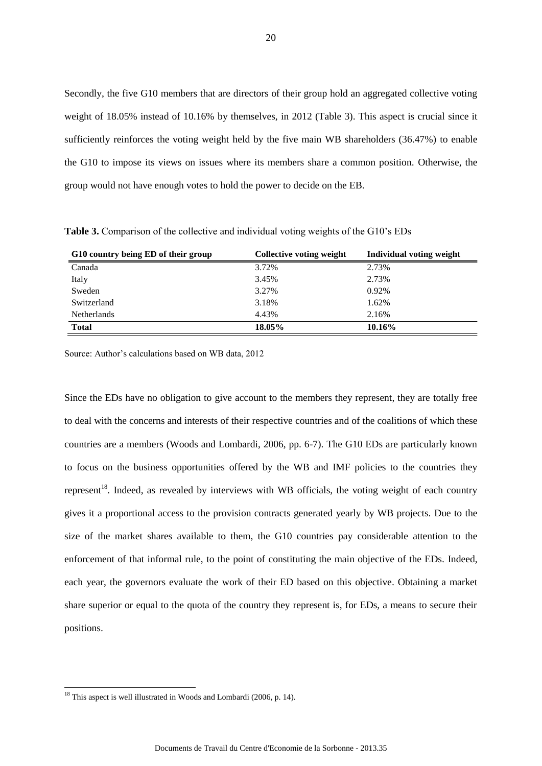Secondly, the five G10 members that are directors of their group hold an aggregated collective voting weight of 18.05% instead of 10.16% by themselves, in 2012 (Table 3). This aspect is crucial since it sufficiently reinforces the voting weight held by the five main WB shareholders (36.47%) to enable the G10 to impose its views on issues where its members share a common position. Otherwise, the group would not have enough votes to hold the power to decide on the EB.

| G10 country being ED of their group | Collective voting weight | <b>Individual voting weight</b> |
|-------------------------------------|--------------------------|---------------------------------|
| Canada                              | 3.72%                    | 2.73%                           |
| Italy                               | 3.45%                    | 2.73%                           |
| Sweden                              | 3.27%                    | 0.92%                           |
| Switzerland                         | 3.18%                    | 1.62%                           |
| <b>Netherlands</b>                  | 4.43%                    | 2.16%                           |
| <b>Total</b>                        | 18.05%                   | 10.16%                          |

**Table 3.** Comparison of the collective and individual voting weights of the G10's EDs

Source: Author's calculations based on WB data, 2012

Since the EDs have no obligation to give account to the members they represent, they are totally free to deal with the concerns and interests of their respective countries and of the coalitions of which these countries are a members (Woods and Lombardi, 2006, pp. 6-7). The G10 EDs are particularly known to focus on the business opportunities offered by the WB and IMF policies to the countries they represent<sup>18</sup>. Indeed, as revealed by interviews with WB officials, the voting weight of each country gives it a proportional access to the provision contracts generated yearly by WB projects. Due to the size of the market shares available to them, the G10 countries pay considerable attention to the enforcement of that informal rule, to the point of constituting the main objective of the EDs. Indeed, each year, the governors evaluate the work of their ED based on this objective. Obtaining a market share superior or equal to the quota of the country they represent is, for EDs, a means to secure their positions.

-

<sup>&</sup>lt;sup>18</sup> This aspect is well illustrated in Woods and Lombardi (2006, p. 14).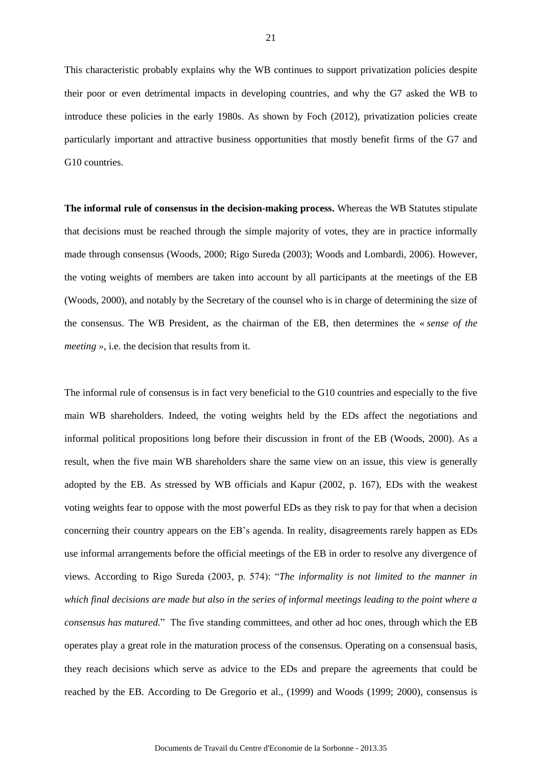This characteristic probably explains why the WB continues to support privatization policies despite their poor or even detrimental impacts in developing countries, and why the G7 asked the WB to introduce these policies in the early 1980s. As shown by Foch (2012), privatization policies create particularly important and attractive business opportunities that mostly benefit firms of the G7 and G10 countries.

**The informal rule of consensus in the decision-making process.** Whereas the WB Statutes stipulate that decisions must be reached through the simple majority of votes, they are in practice informally made through consensus (Woods, 2000; Rigo Sureda (2003); Woods and Lombardi, 2006). However, the voting weights of members are taken into account by all participants at the meetings of the EB (Woods, 2000), and notably by the Secretary of the counsel who is in charge of determining the size of the consensus. The WB President, as the chairman of the EB, then determines the « *sense of the meeting »*, i.e. the decision that results from it.

The informal rule of consensus is in fact very beneficial to the G10 countries and especially to the five main WB shareholders. Indeed, the voting weights held by the EDs affect the negotiations and informal political propositions long before their discussion in front of the EB (Woods, 2000). As a result, when the five main WB shareholders share the same view on an issue, this view is generally adopted by the EB. As stressed by WB officials and Kapur (2002, p. 167), EDs with the weakest voting weights fear to oppose with the most powerful EDs as they risk to pay for that when a decision concerning their country appears on the EB's agenda. In reality, disagreements rarely happen as EDs use informal arrangements before the official meetings of the EB in order to resolve any divergence of views. According to Rigo Sureda (2003, p. 574): "*The informality is not limited to the manner in which final decisions are made but also in the series of informal meetings leading to the point where a consensus has matured.*" The five standing committees, and other ad hoc ones, through which the EB operates play a great role in the maturation process of the consensus. Operating on a consensual basis, they reach decisions which serve as advice to the EDs and prepare the agreements that could be reached by the EB. According to De Gregorio et al., (1999) and Woods (1999; 2000), consensus is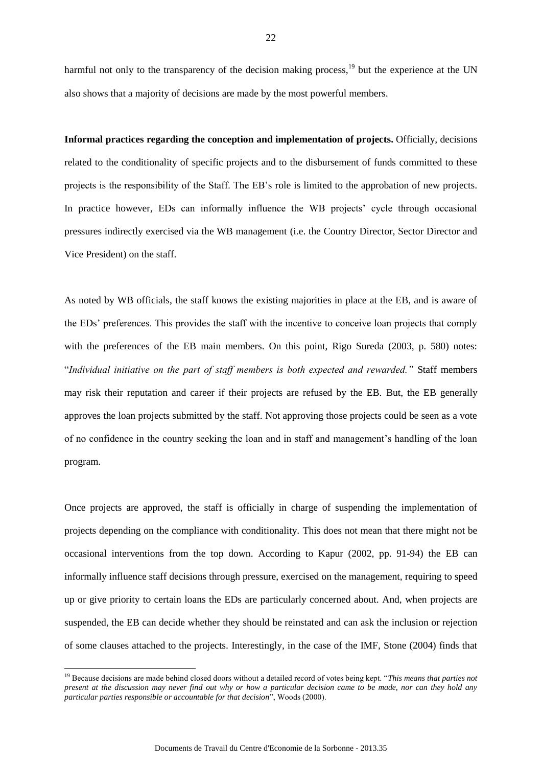harmful not only to the transparency of the decision making process, $19$  but the experience at the UN also shows that a majority of decisions are made by the most powerful members.

**Informal practices regarding the conception and implementation of projects.** Officially, decisions related to the conditionality of specific projects and to the disbursement of funds committed to these projects is the responsibility of the Staff. The EB's role is limited to the approbation of new projects. In practice however, EDs can informally influence the WB projects' cycle through occasional pressures indirectly exercised via the WB management (i.e. the Country Director, Sector Director and Vice President) on the staff.

As noted by WB officials, the staff knows the existing majorities in place at the EB, and is aware of the EDs' preferences. This provides the staff with the incentive to conceive loan projects that comply with the preferences of the EB main members. On this point, Rigo Sureda (2003, p. 580) notes: "*Individual initiative on the part of staff members is both expected and rewarded."* Staff members may risk their reputation and career if their projects are refused by the EB. But, the EB generally approves the loan projects submitted by the staff. Not approving those projects could be seen as a vote of no confidence in the country seeking the loan and in staff and management's handling of the loan program.

Once projects are approved, the staff is officially in charge of suspending the implementation of projects depending on the compliance with conditionality. This does not mean that there might not be occasional interventions from the top down. According to Kapur (2002, pp. 91-94) the EB can informally influence staff decisions through pressure, exercised on the management, requiring to speed up or give priority to certain loans the EDs are particularly concerned about. And, when projects are suspended, the EB can decide whether they should be reinstated and can ask the inclusion or rejection of some clauses attached to the projects. Interestingly, in the case of the IMF, Stone (2004) finds that

<sup>19</sup> Because decisions are made behind closed doors without a detailed record of votes being kept. "*This means that parties not present at the discussion may never find out why or how a particular decision came to be made, nor can they hold any particular parties responsible or accountable for that decision*", Woods (2000).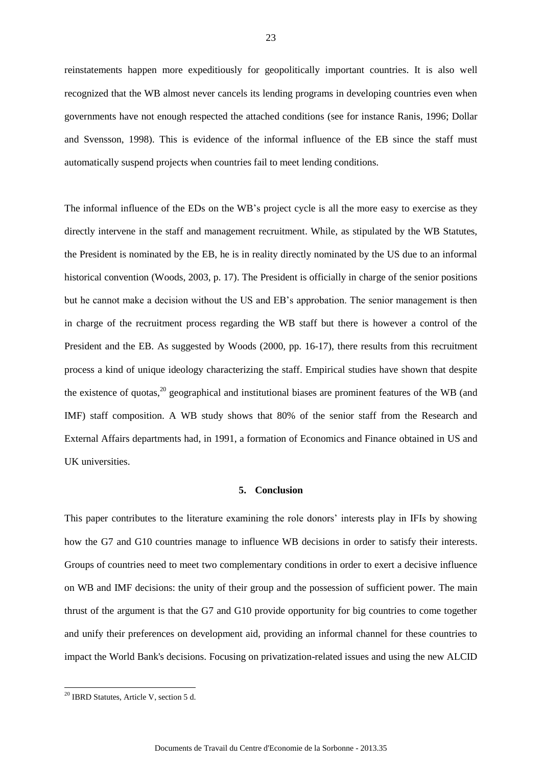reinstatements happen more expeditiously for geopolitically important countries. It is also well recognized that the WB almost never cancels its lending programs in developing countries even when governments have not enough respected the attached conditions (see for instance Ranis, 1996; Dollar and Svensson, 1998). This is evidence of the informal influence of the EB since the staff must automatically suspend projects when countries fail to meet lending conditions.

The informal influence of the EDs on the WB's project cycle is all the more easy to exercise as they directly intervene in the staff and management recruitment. While, as stipulated by the WB Statutes, the President is nominated by the EB, he is in reality directly nominated by the US due to an informal historical convention (Woods, 2003, p. 17). The President is officially in charge of the senior positions but he cannot make a decision without the US and EB's approbation. The senior management is then in charge of the recruitment process regarding the WB staff but there is however a control of the President and the EB. As suggested by Woods (2000, pp. 16-17), there results from this recruitment process a kind of unique ideology characterizing the staff. Empirical studies have shown that despite the existence of quotas,<sup>20</sup> geographical and institutional biases are prominent features of the WB (and IMF) staff composition. A WB study shows that 80% of the senior staff from the Research and External Affairs departments had, in 1991, a formation of Economics and Finance obtained in US and UK universities.

#### **5. Conclusion**

This paper contributes to the literature examining the role donors' interests play in IFIs by showing how the G7 and G10 countries manage to influence WB decisions in order to satisfy their interests. Groups of countries need to meet two complementary conditions in order to exert a decisive influence on WB and IMF decisions: the unity of their group and the possession of sufficient power. The main thrust of the argument is that the G7 and G10 provide opportunity for big countries to come together and unify their preferences on development aid, providing an informal channel for these countries to impact the World Bank's decisions. Focusing on privatization-related issues and using the new ALCID

-

<sup>&</sup>lt;sup>20</sup> IBRD Statutes, Article V, section 5 d.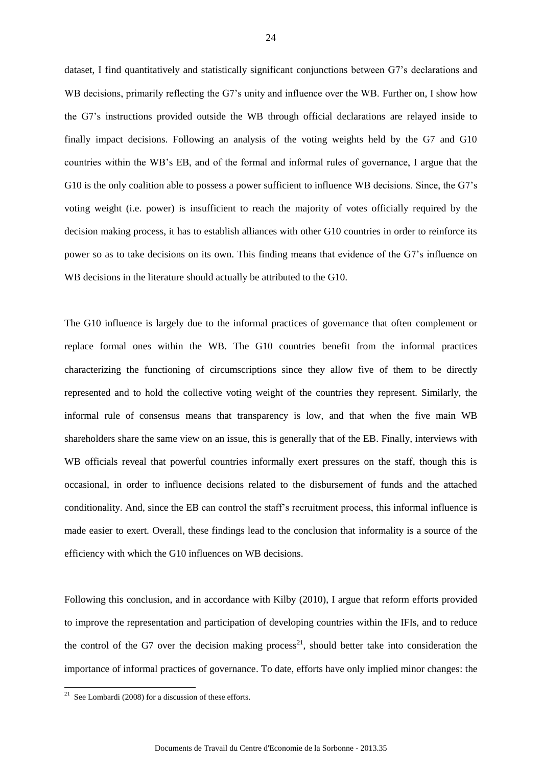dataset, I find quantitatively and statistically significant conjunctions between G7's declarations and WB decisions, primarily reflecting the G7's unity and influence over the WB. Further on, I show how the G7's instructions provided outside the WB through official declarations are relayed inside to finally impact decisions. Following an analysis of the voting weights held by the G7 and G10 countries within the WB's EB, and of the formal and informal rules of governance, I argue that the G10 is the only coalition able to possess a power sufficient to influence WB decisions. Since, the G7's voting weight (i.e. power) is insufficient to reach the majority of votes officially required by the decision making process, it has to establish alliances with other G10 countries in order to reinforce its power so as to take decisions on its own. This finding means that evidence of the G7's influence on WB decisions in the literature should actually be attributed to the G10.

The G10 influence is largely due to the informal practices of governance that often complement or replace formal ones within the WB. The G10 countries benefit from the informal practices characterizing the functioning of circumscriptions since they allow five of them to be directly represented and to hold the collective voting weight of the countries they represent. Similarly, the informal rule of consensus means that transparency is low, and that when the five main WB shareholders share the same view on an issue, this is generally that of the EB. Finally, interviews with WB officials reveal that powerful countries informally exert pressures on the staff, though this is occasional, in order to influence decisions related to the disbursement of funds and the attached conditionality. And, since the EB can control the staff's recruitment process, this informal influence is made easier to exert. Overall, these findings lead to the conclusion that informality is a source of the efficiency with which the G10 influences on WB decisions.

Following this conclusion, and in accordance with Kilby (2010), I argue that reform efforts provided to improve the representation and participation of developing countries within the IFIs, and to reduce the control of the G7 over the decision making process<sup>21</sup>, should better take into consideration the importance of informal practices of governance. To date, efforts have only implied minor changes: the

**EXECUTE:**<br><sup>21</sup> See Lombardi (2008) for a discussion of these efforts.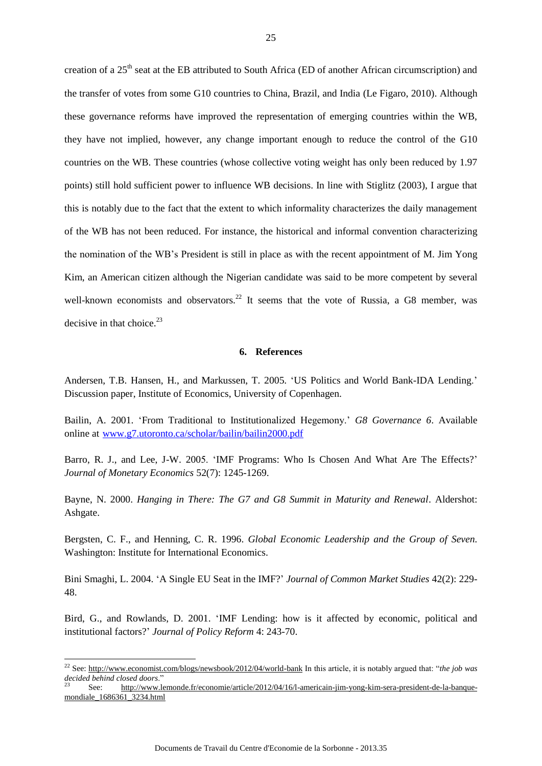creation of a 25<sup>th</sup> seat at the EB attributed to South Africa (ED of another African circumscription) and the transfer of votes from some G10 countries to China, Brazil, and India (Le Figaro, 2010). Although these governance reforms have improved the representation of emerging countries within the WB, they have not implied, however, any change important enough to reduce the control of the G10 countries on the WB. These countries (whose collective voting weight has only been reduced by 1.97 points) still hold sufficient power to influence WB decisions. In line with Stiglitz (2003), I argue that this is notably due to the fact that the extent to which informality characterizes the daily management of the WB has not been reduced. For instance, the historical and informal convention characterizing the nomination of the WB's President is still in place as with the recent appointment of M. Jim Yong Kim, an American citizen although the Nigerian candidate was said to be more competent by several well-known economists and observators.<sup>22</sup> It seems that the vote of Russia, a G8 member, was decisive in that choice. $23$ 

#### **6. References**

Andersen, T.B. Hansen, H., and Markussen, T. 2005. 'US Politics and World Bank-IDA Lending.' Discussion paper, Institute of Economics, University of Copenhagen.

Bailin, A. 2001. 'From Traditional to Institutionalized Hegemony.' *G8 Governance 6*. Available online at [www.g7.utoronto.ca/scholar/bailin/bailin2000.pdf](http://www.g7.utoronto.ca/scholar/bailin/bailin2000.pdf)

Barro, R. J., and Lee, J-W. 2005. 'IMF Programs: Who Is Chosen And What Are The Effects?' *Journal of Monetary Economics* 52(7): 1245-1269.

Bayne, N. 2000. *Hanging in There: The G7 and G8 Summit in Maturity and Renewal*. Aldershot: Ashgate.

Bergsten, C. F., and Henning, C. R. 1996. *Global Economic Leadership and the Group of Seven.* Washington: Institute for International Economics.

Bini Smaghi, L. 2004. 'A Single EU Seat in the IMF?' *Journal of Common Market Studies* 42(2): 229- 48.

Bird, G., and Rowlands, D. 2001. 'IMF Lending: how is it affected by economic, political and institutional factors?' *Journal of Policy Reform* 4: 243-70.

-

<sup>22</sup> See:<http://www.economist.com/blogs/newsbook/2012/04/world-bank> In this article, it is notably argued that: "*the job was decided behind closed doors*."

<sup>23</sup> See: [http://www.lemonde.fr/economie/article/2012/04/16/l-americain-jim-yong-kim-sera-president-de-la-banque](http://www.lemonde.fr/economie/article/2012/04/16/l-americain-jim-yong-kim-sera-president-de-la-banque-mondiale_1686361_3234.html)[mondiale\\_1686361\\_3234.html](http://www.lemonde.fr/economie/article/2012/04/16/l-americain-jim-yong-kim-sera-president-de-la-banque-mondiale_1686361_3234.html)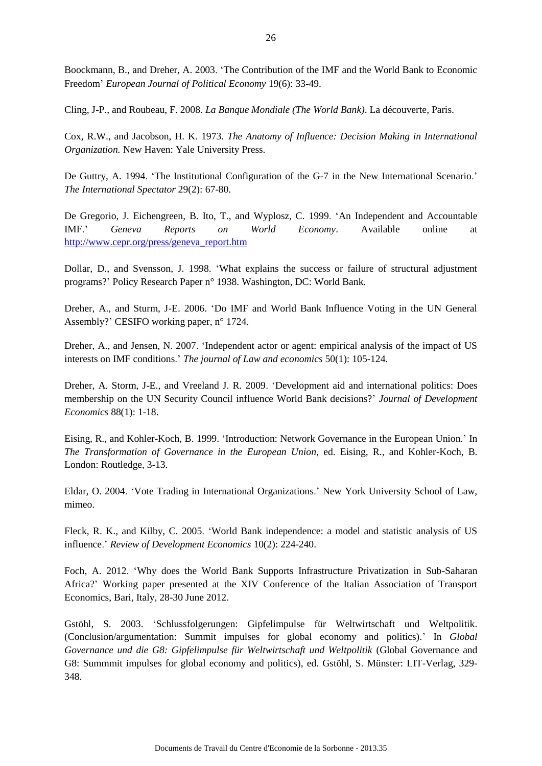Boockmann, B., and Dreher, A. 2003. 'The Contribution of the IMF and the World Bank to Economic Freedom' *European Journal of Political Economy* 19(6): 33-49.

Cling, J-P., and Roubeau, F. 2008. *La Banque Mondiale (The World Bank)*. La découverte, Paris.

Cox, R.W., and Jacobson, H. K. 1973. *The Anatomy of Influence: Decision Making in International Organization.* New Haven: Yale University Press.

De Guttry, A. 1994. 'The Institutional Configuration of the G-7 in the New International Scenario.' *The International Spectator* 29(2): 67-80.

De Gregorio, J. Eichengreen, B. Ito, T., and Wyplosz, C. 1999. 'An Independent and Accountable IMF.' *Geneva Reports on World Economy*. Available online at [http://www.cepr.org/press/geneva\\_report.htm](http://www.cepr.org/press/geneva_report.htm)

Dollar, D., and Svensson, J. 1998. 'What explains the success or failure of structural adjustment programs?' Policy Research Paper n° 1938. Washington, DC: World Bank.

Dreher, A., and Sturm, J-E. 2006. 'Do IMF and World Bank Influence Voting in the UN General Assembly?' CESIFO working paper, n° 1724.

Dreher, A., and Jensen, N. 2007. 'Independent actor or agent: empirical analysis of the impact of US interests on IMF conditions.' *The journal of Law and economics* 50(1): 105-124.

Dreher, A. Storm, J-E., and Vreeland J. R. 2009. 'Development aid and international politics: Does membership on the UN Security Council influence World Bank decisions?' *[Journal of Development](http://www.sciencedirect.com/science/journal/03043878)  [Economics](http://www.sciencedirect.com/science/journal/03043878)* [88\(1\)](http://www.sciencedirect.com/science/journal/03043878/88/1): 1-18.

Eising, R., and Kohler-Koch, B. 1999. 'Introduction: Network Governance in the European Union.' In *The Transformation of Governance in the European Union*, ed. Eising, R., and Kohler-Koch, B. London: Routledge, 3-13.

Eldar, O. 2004. 'Vote Trading in International Organizations.' New York University School of Law, mimeo.

Fleck, R. K., and Kilby, C. 2005. 'World Bank independence: a model and statistic analysis of US influence.' *Review of Development Economics* 10(2): 224-240.

Foch, A. 2012. 'Why does the World Bank Supports Infrastructure Privatization in Sub-Saharan Africa?' Working paper presented at the XIV Conference of the Italian Association of Transport Economics, Bari, Italy, 28-30 June 2012.

Gstöhl, S. 2003. 'Schlussfolgerungen: Gipfelimpulse für Weltwirtschaft und Weltpolitik. (Conclusion/argumentation: Summit impulses for global economy and politics).' In *Global*  Governance und die G8: Gipfelimpulse für Weltwirtschaft und Weltpolitik (Global Governance and G8: Summmit impulses for global economy and politics), ed. Gstöhl, S. Münster: LIT-Verlag, 329- 348.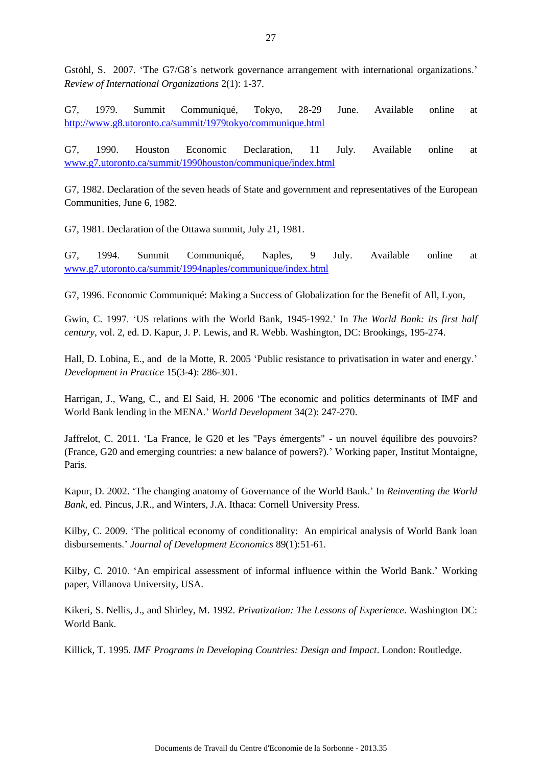Gstöhl, S. 2007. 'The G7/G8´s network governance arrangement with international organizations.' *[Review of International Organizations](http://ideas.repec.org/s/spr/revint.html)* 2(1): 1-37.

G7, 1979. Summit Communiqué, Tokyo, 28-29 June. Available online at <http://www.g8.utoronto.ca/summit/1979tokyo/communique.html>

G7, 1990. Houston Economic Declaration, 11 July. Available online at [www.g7.utoronto.ca/summit/1990houston/communique/index.html](http://www.g7.utoronto.ca/summit/1990houston/communique/index.html) 

G7, 1982. Declaration of the seven heads of State and government and representatives of the European Communities, June 6, 1982.

G7, 1981. Declaration of the Ottawa summit, July 21, 1981.

G7, 1994. Summit Communiqué, Naples, 9 July. Available online at [www.g7.utoronto.ca/summit/1994naples/communique/index.html](http://www.g7.utoronto.ca/summit/1994naples/communique/index.html)

G7, 1996. Economic Communiqué: Making a Success of Globalization for the Benefit of All, Lyon,

Gwin, C. 1997. 'US relations with the World Bank, 1945-1992.' In *The World Bank: its first half century*, vol. 2, ed. D. Kapur, J. P. Lewis, and R. Webb. Washington, DC: Brookings, 195-274.

Hall, D. Lobina, E., and de la Motte, R. 2005 'Public resistance to privatisation in water and energy.' *Development in Practice* [15\(](http://www.tandfonline.com/loi/cdip20?open=15#vol_15)3-4): 286-301.

Harrigan, J., Wang, C., and El Said, H. 2006 'The economic and politics determinants of IMF and World Bank lending in the MENA.' *World Development* 34(2): 247-270.

Jaffrelot, C. 2011. 'La France, le G20 et les "Pays émergents" - un nouvel équilibre des pouvoirs? (France, G20 and emerging countries: a new balance of powers?).' Working paper, Institut Montaigne, Paris.

Kapur, D. 2002. 'The changing anatomy of Governance of the World Bank.' In *Reinventing the World Bank*, ed. Pincus, J.R., and Winters, J.A. Ithaca: Cornell University Press.

Kilby, C. 2009. 'The political economy of conditionality: An empirical analysis of World Bank loan disbursements.' *Journal of Development Economics* 89(1):51-61.

Kilby, C. 2010. 'An empirical assessment of informal influence within the World Bank.' Working paper, Villanova University, USA.

Kikeri, S. Nellis, J., and Shirley, M. 1992. *Privatization: The Lessons of Experience*. Washington DC: World Bank.

Killick, T. 1995. *IMF Programs in Developing Countries: Design and Impact*. London: Routledge.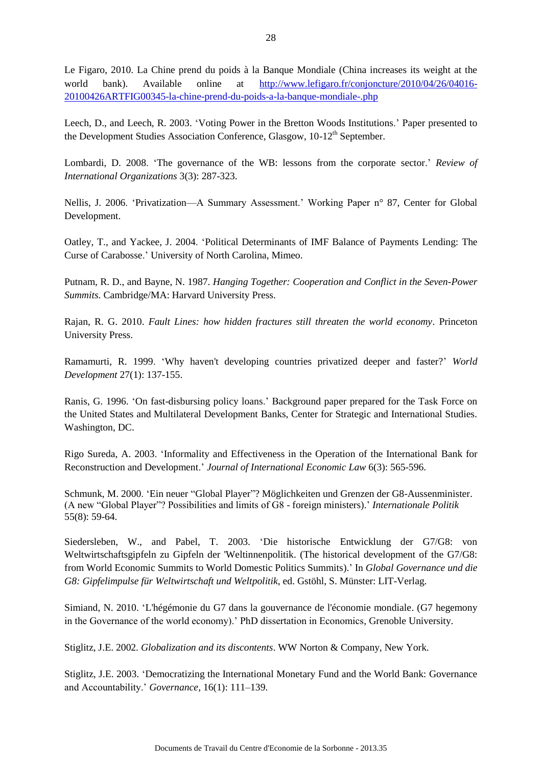Le Figaro, 2010. La Chine prend du poids à la Banque Mondiale (China increases its weight at the world bank). Available online at [http://www.lefigaro.fr/conjoncture/2010/04/26/04016-](http://www.lefigaro.fr/conjoncture/2010/04/26/04016-20100426ARTFIG00345-la-chine-prend-du-poids-a-la-banque-mondiale-.php) [20100426ARTFIG00345-la-chine-prend-du-poids-a-la-banque-mondiale-.php](http://www.lefigaro.fr/conjoncture/2010/04/26/04016-20100426ARTFIG00345-la-chine-prend-du-poids-a-la-banque-mondiale-.php) 

Leech, D., and Leech, R. 2003. 'Voting Power in the Bretton Woods Institutions.' Paper presented to the Development Studies Association Conference, Glasgow, 10-12<sup>th</sup> September.

Lombardi, D. 2008. 'The governance of the WB: lessons from the corporate sector.' *Review of International Organizations* 3(3): 287-323.

Nellis, J. 2006. 'Privatization—A Summary Assessment.' Working Paper n° 87, Center for Global Development.

Oatley, T., and Yackee, J. 2004. 'Political Determinants of IMF Balance of Payments Lending: The Curse of Carabosse.' University of North Carolina, Mimeo.

Putnam, R. D., and Bayne, N. 1987. *Hanging Together: Cooperation and Conflict in the Seven-Power Summits.* Cambridge/MA: Harvard University Press.

Rajan, R. G. 2010. *Fault Lines: how hidden fractures still threaten the world economy*. Princeton University Press.

Ramamurti, R. 1999. 'Why haven't developing countries privatized deeper and faster?' *World Development* 27(1): 137-155.

Ranis, G. 1996. 'On fast-disbursing policy loans.' Background paper prepared for the Task Force on the United States and Multilateral Development Banks, Center for Strategic and International Studies. Washington, DC.

Rigo Sureda, A. 2003. 'Informality and Effectiveness in the Operation of the International Bank for Reconstruction and Development.' *Journal of International Economic Law* 6(3): 565-596.

Schmunk, M. 2000. 'Ein neuer "Global Player"? Möglichkeiten und Grenzen der G8-Aussenminister. (A new "Global Player"? Possibilities and limits of G8 - foreign ministers).' *Internationale Politik* 55(8): 59-64.

Siedersleben, W., and Pabel, T. 2003. 'Die historische Entwicklung der G7/G8: von Weltwirtschaftsgipfeln zu Gipfeln der 'Weltinnenpolitik. (The historical development of the G7/G8: from World Economic Summits to World Domestic Politics Summits).' In *Global Governance und die G8: Gipfelimpulse für Weltwirtschaft und Weltpolitik,* ed. Gstöhl, S. Münster: LIT-Verlag.

Simiand, N. 2010. 'L'hégémonie du G7 dans la gouvernance de l'économie mondiale. (G7 hegemony in the Governance of the world economy).' PhD dissertation in Economics, Grenoble University.

Stiglitz, J.E. 2002. *Globalization and its discontents*. WW Norton & Company, New York.

Stiglitz, J.E. 2003. 'Democratizing the International Monetary Fund and the World Bank: Governance and Accountability.' *Governance*, [16\(1\):](http://onlinelibrary.wiley.com/doi/10.1111/gove.2003.16.issue-1/issuetoc) 111–139.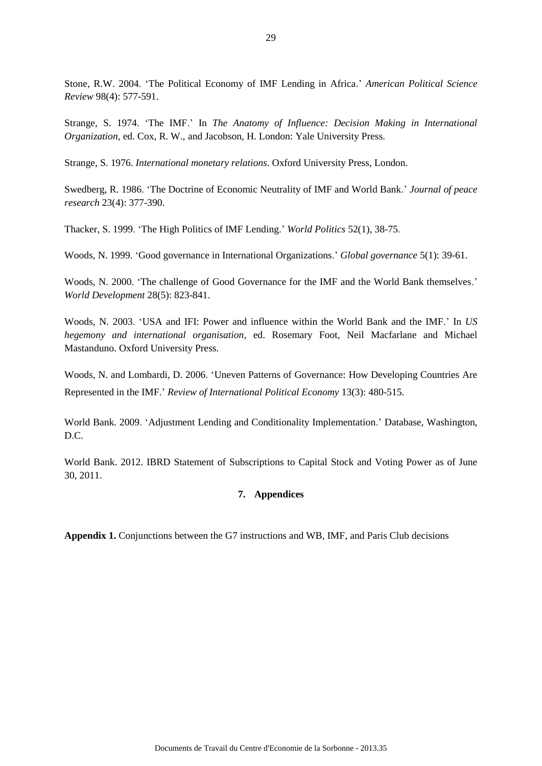Stone, R.W. 2004. 'The Political Economy of IMF Lending in Africa.' *American Political Science Review* 98(4): 577-591.

Strange, S. 1974. 'The IMF.' In *The Anatomy of Influence: Decision Making in International Organization*, ed. Cox, R. W., and Jacobson, H. London: Yale University Press.

Strange, S. 1976. *International monetary relations*. Oxford University Press, London.

Swedberg, R. 1986. 'The Doctrine of Economic Neutrality of IMF and World Bank.' *Journal of peace research* 23(4): 377-390.

Thacker, S. 1999. 'The High Politics of IMF Lending.' *World Politics* 52(1), 38-75.

Woods, N. 1999. 'Good governance in International Organizations.' *Global governance* 5(1): 39-61.

Woods, N. 2000. 'The challenge of Good Governance for the IMF and the World Bank themselves.' *World Development* 28(5): 823-841.

Woods, N. 2003. 'USA and IFI: Power and influence within the World Bank and the IMF.' In *US hegemony and international organisation*, ed. Rosemary Foot, Neil Macfarlane and Michael Mastanduno. Oxford University Press.

Woods, N. and Lombardi, D. 2006. 'Uneven Patterns of Governance: How Developing Countries Are Represented in the IMF.' *Review of International Political Economy* 13(3): 480-515.

World Bank. 2009. 'Adjustment Lending and Conditionality Implementation.' Database, Washington, D.C.

World Bank. 2012. IBRD Statement of Subscriptions to Capital Stock and Voting Power as of June 30, 2011.

### **7. Appendices**

**Appendix 1.** Conjunctions between the G7 instructions and WB, IMF, and Paris Club decisions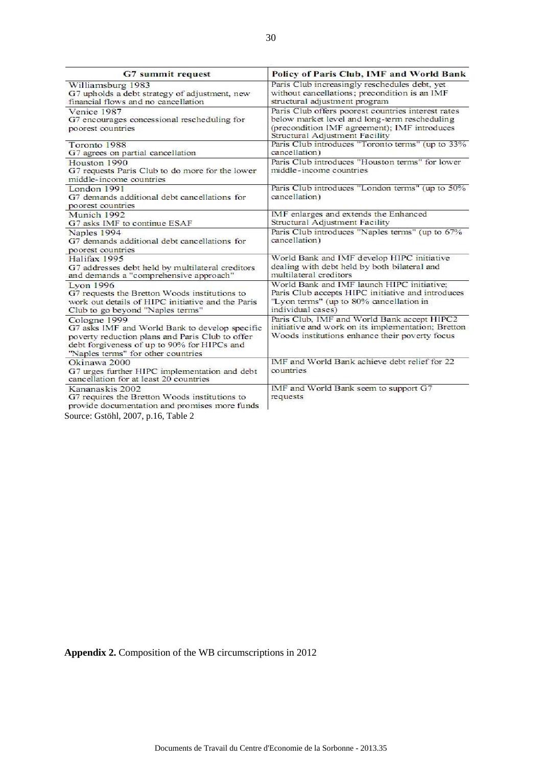| <b>G7</b> summit request                                                                                                                                                                               | Policy of Paris Club, IMF and World Bank                                                                                                                                              |
|--------------------------------------------------------------------------------------------------------------------------------------------------------------------------------------------------------|---------------------------------------------------------------------------------------------------------------------------------------------------------------------------------------|
| Williamsburg 1983<br>G7 upholds a debt strategy of adjustment, new<br>financial flows and no cancellation                                                                                              | Paris Club increasingly reschedules debt, yet<br>without cancellations; precondition is an IMF<br>structural adjustment program                                                       |
| Venice 1987<br>G7 encourages concessional rescheduling for<br>poorest countries                                                                                                                        | Paris Club offers poorest countries interest rates<br>below market level and long-term rescheduling<br>(precondition IMF agreement); IMF introduces<br>Structural Adjustment Facility |
| Toronto 1988<br>G7 agrees on partial cancellation                                                                                                                                                      | Paris Club introduces "Toronto terms" (up to 33%<br>cancellation)                                                                                                                     |
| Houston 1990<br>G7 requests Paris Club to do more for the lower<br>middle-income countries                                                                                                             | Paris Club introduces "Houston terms" for lower<br>middle-income countries                                                                                                            |
| London 1991<br>G7 demands additional debt cancellations for<br>poorest countries                                                                                                                       | Paris Club introduces "London terms" (up to 50%<br>cancellation)                                                                                                                      |
| Munich 1992<br>G7 asks IMF to continue ESAF                                                                                                                                                            | IMF enlarges and extends the Enhanced<br>Structural Adjustment Facility                                                                                                               |
| Naples 1994<br>G7 demands additional debt cancellations for<br>poorest countries                                                                                                                       | Paris Club introduces "Naples terms" (up to 67%<br>cancellation)                                                                                                                      |
| Halifax 1995<br>G7 addresses debt held by multilateral creditors<br>and demands a "comprehensive approach"                                                                                             | World Bank and IMF develop HIPC initiative<br>dealing with debt held by both bilateral and<br>multilateral creditors                                                                  |
| <b>Lvon 1996</b><br>G7 requests the Bretton Woods institutions to<br>work out details of HIPC initiative and the Paris<br>Club to go beyond "Naples terms"                                             | World Bank and IMF launch HIPC initiative:<br>Paris Club accepts HIPC initiative and introduces<br>"Lyon terms" (up to 80% cancellation in<br>individual cases)                       |
| Cologne 1999<br>G7 asks IMF and World Bank to develop specific<br>poverty reduction plans and Paris Club to offer<br>debt forgiveness of up to 90% for HIPCs and<br>"Naples terms" for other countries | Paris Club, IMF and World Bank accept HIPC2<br>initiative and work on its implementation; Bretton<br>Woods institutions enhance their poverty focus                                   |
| Okinawa 2000<br>G7 urges further HIPC implementation and debt<br>cancellation for at least 20 countries                                                                                                | IMF and World Bank achieve debt relief for 22<br>countries                                                                                                                            |
| Kananaskis 2002<br>G7 requires the Bretton Woods institutions to<br>provide documentation and promises more funds                                                                                      | IMF and World Bank seem to support G7<br>requests                                                                                                                                     |

Source: Gstöhl, 2007, p.16, Table 2

**Appendix 2.** Composition of the WB circumscriptions in 2012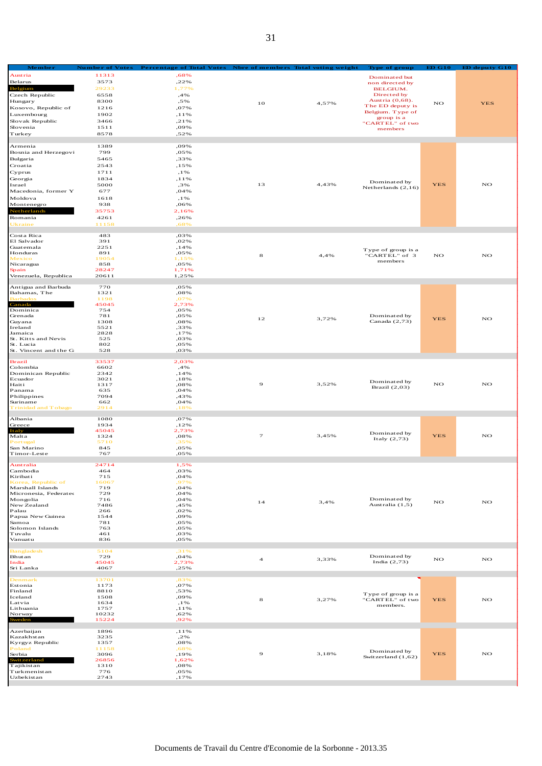| Member<br>Austria                | <b>Number of Votes</b><br>11313 | <b>Percentage of Total Votes</b><br>,68% | Nbre of members Total voting weight |       | Type of group                         | <b>ED G10</b> | <b>ED deputy G10</b> |
|----------------------------------|---------------------------------|------------------------------------------|-------------------------------------|-------|---------------------------------------|---------------|----------------------|
| Belarus                          | 3573                            | ,22%                                     |                                     |       | Dominated but                         |               |                      |
| Belgium                          | 29233                           | 1,77%                                    |                                     |       | non directed by<br><b>BELGIUM.</b>    |               |                      |
| Czech Republic                   | 6558                            | ,4%                                      |                                     |       | Directed by                           |               |                      |
| Hungary                          | 8300                            | ,5%                                      | 10                                  | 4,57% | Austria (0,68).                       | NO            | <b>YES</b>           |
| Kosovo, Republic of              | 1216                            | ,07%                                     |                                     |       | The ED deputy is<br>Belgium. Type of  |               |                      |
| Luxembourg                       | 1902                            | , 1 1 %                                  |                                     |       | group is a                            |               |                      |
| Slovak Republic<br>Slovenia      | 3466<br>1511                    | ,21%<br>,09%                             |                                     |       | "CARTEL" of two                       |               |                      |
| Turkey                           | 8578                            | ,52%                                     |                                     |       | members                               |               |                      |
|                                  |                                 |                                          |                                     |       |                                       |               |                      |
| Armenia                          | 1389                            | ,09%                                     |                                     |       |                                       |               |                      |
| Bosnia and Herzegovi             | 799                             | ,05%                                     |                                     |       |                                       |               |                      |
| Bulgaria                         | 5465                            | ,33%                                     |                                     |       |                                       |               |                      |
| Croatia<br>Cyprus                | 2543<br>1711                    | ,15%                                     |                                     |       |                                       |               |                      |
| Georgia                          | 1834                            | , 1 %<br>, 1 1 %                         |                                     |       |                                       |               |                      |
| Israel                           | 5000                            | ,3%                                      | 13                                  | 4,43% | Dominated by                          | <b>YES</b>    | NO                   |
| Macedonia, former Y              | 677                             | ,04%                                     |                                     |       | Netherlands $(2,16)$                  |               |                      |
| Moldova                          | 1618                            | , 1 %                                    |                                     |       |                                       |               |                      |
| Montenegro                       | 938                             | ,06%                                     |                                     |       |                                       |               |                      |
| Netherlands                      | 35753                           | 2,16%                                    |                                     |       |                                       |               |                      |
| Romania                          | 4261                            | ,26%                                     |                                     |       |                                       |               |                      |
| Ukraine                          | 11158                           | ,68%                                     |                                     |       |                                       |               |                      |
| Costa Rica                       | 483                             | ,03%                                     |                                     |       |                                       |               |                      |
| El Salvador                      | 391                             | ,02%                                     |                                     |       |                                       |               |                      |
| Guatemala                        | 2251                            | , 14%                                    |                                     |       | Type of group is a                    |               |                      |
| Honduras<br>Mexico               | 891<br>19054                    | ,05%<br>1.15%                            | 8                                   | 4,4%  | "CARTEL" of 3                         | NO            | NO                   |
| Nicaragua                        | 858                             | ,05%                                     |                                     |       | members                               |               |                      |
| Spain                            | 28247                           | 1,71%                                    |                                     |       |                                       |               |                      |
| Venezuela, Republica             | 20611                           | 1,25%                                    |                                     |       |                                       |               |                      |
| Antigua and Barbuda              | 770                             | ,05%                                     |                                     |       |                                       |               |                      |
| Bahamas, The                     | 1321                            | ,08%                                     |                                     |       |                                       |               |                      |
| Barbado:                         | 1198                            | ,07%                                     |                                     |       |                                       |               |                      |
| Canada<br>Dominica               | 45045<br>754                    | 2,73%                                    |                                     |       |                                       |               |                      |
| Grenada                          | 781                             | ,05%<br>,05%                             |                                     |       | Dominated by                          |               |                      |
| Guyana                           | 1308                            | ,08%                                     | 12                                  | 3,72% | Canada $(2,73)$                       | <b>YES</b>    | NO                   |
| Ireland                          | 5521                            | ,33%                                     |                                     |       |                                       |               |                      |
| Jamaica                          | 2828                            | ,17%                                     |                                     |       |                                       |               |                      |
| St. Kitts and Nevis<br>St. Lucia | 525<br>802                      | ,03%<br>,05%                             |                                     |       |                                       |               |                      |
| St. Vincent and the G            | 528                             | ,03%                                     |                                     |       |                                       |               |                      |
|                                  |                                 |                                          |                                     |       |                                       |               |                      |
| <b>Brazil</b><br>Colombia        | 33537<br>6602                   | 2,03%<br>,4%                             |                                     |       |                                       |               |                      |
| Dominican Republic               | 2342                            | ,14%                                     |                                     |       |                                       |               |                      |
| Ecuador                          | 3021                            | ,18%                                     |                                     |       | Dominated by                          |               |                      |
| Haiti                            | 1317                            | ,08%                                     | 9                                   | 3,52% | Brazil $(2,03)$                       | NO            | NO                   |
| Panama                           | 635<br>7094                     | ,04%<br>,43%                             |                                     |       |                                       |               |                      |
| Philippines<br>Suriname          | 662                             | ,04%                                     |                                     |       |                                       |               |                      |
| <b>Trinidad and Tobago</b>       | 2914                            | ,18%                                     |                                     |       |                                       |               |                      |
|                                  |                                 |                                          |                                     |       |                                       |               |                      |
| Albania<br>Greece                | 1080<br>1934                    | ,07%<br>,12%                             |                                     |       |                                       |               |                      |
| Italy                            | 45045                           | 2,73%                                    |                                     |       |                                       |               |                      |
| Malta                            | 1324                            | ,08%                                     | $\tau$                              | 3,45% | Dominated by<br>Italy $(2,73)$        | <b>YES</b>    | NO                   |
| Portugal                         | 5710                            | ,35%                                     |                                     |       |                                       |               |                      |
| San Marino<br>Timor-Leste        | 845<br>767                      | ,05%<br>,05%                             |                                     |       |                                       |               |                      |
|                                  |                                 |                                          |                                     |       |                                       |               |                      |
| Australia                        | 24714                           | 1,5%                                     |                                     |       |                                       |               |                      |
| Cambodia                         | 464                             | ,03%                                     |                                     |       |                                       |               |                      |
| Kiribati<br>Korea, Republic of   | 715<br>16067                    | ,04%<br>.97%                             |                                     |       |                                       |               |                      |
| Marshall Islands                 | 719                             | ,04%                                     |                                     |       |                                       |               |                      |
| Micronesia, Federated            | 729                             | ,04%                                     |                                     |       |                                       |               |                      |
| Mongolia<br>New Zealand          | 716<br>7486                     | ,04%<br>,45%                             | 14                                  | 3,4%  | Dominated by<br>Australia (1,5)       | NO            | NO                   |
| Palau                            | 266                             | ,02%                                     |                                     |       |                                       |               |                      |
| Papua New Guinea                 | 1544                            | ,09%                                     |                                     |       |                                       |               |                      |
| Samoa                            | 781                             | ,05%                                     |                                     |       |                                       |               |                      |
| Solomon Islands<br>Tuvalu        | 763<br>461                      | ,05%                                     |                                     |       |                                       |               |                      |
| Vanuatu                          | 836                             | ,03%<br>,05%                             |                                     |       |                                       |               |                      |
|                                  |                                 |                                          |                                     |       |                                       |               |                      |
| Bangladesh                       | 5104                            | ,31%                                     |                                     |       | Dominated by                          |               |                      |
| Bhutan<br>India                  | 729<br>45045                    | ,04%<br>2,73%                            | $\ensuremath{\mathsf{4}}$           | 3,33% | India $(2,73)$                        | NO            | NO                   |
| Sri Lanka                        | 4067                            | ,25%                                     |                                     |       |                                       |               |                      |
|                                  |                                 |                                          |                                     |       |                                       |               |                      |
| Denmark<br>Estonia               | 13701<br>1173                   | ,83%<br>,07%                             |                                     |       |                                       |               |                      |
| Finland                          | 8810                            | ,53%                                     |                                     |       |                                       |               |                      |
| Iceland                          | 1508                            | ,09%                                     | 8                                   | 3,27% | Type of group is a<br>"CARTEL" of two | <b>YES</b>    | NO                   |
| Latvia                           | 1634                            | , 1 %                                    |                                     |       | members.                              |               |                      |
| Lithuania<br>Norway              | 1757<br>10232                   | , 1 1 %<br>,62%                          |                                     |       |                                       |               |                      |
| æden                             | 15224                           | ,92%                                     |                                     |       |                                       |               |                      |
|                                  |                                 |                                          |                                     |       |                                       |               |                      |
| Azerbaijan                       | 1896                            | , 1 1 %                                  |                                     |       |                                       |               |                      |
| Kazakhstan<br>Kyrgyz Republic    | 3235<br>1357                    | ,2%<br>,08%                              |                                     |       |                                       |               |                      |
| Poland                           | 11158                           | ,68%                                     |                                     |       | Dominated by                          |               |                      |
| Serbia                           | 3096                            | ,19%                                     | 9                                   | 3,18% | Switzerland (1,62)                    | <b>YES</b>    | NO                   |
| Switzerland                      | 26856                           | 1,62%                                    |                                     |       |                                       |               |                      |
| Tajikistan<br>Turkmenistan       | 1310<br>776                     | ,08%<br>,05%                             |                                     |       |                                       |               |                      |
| Uzbekistan                       | 2743                            | ,17%                                     |                                     |       |                                       |               |                      |